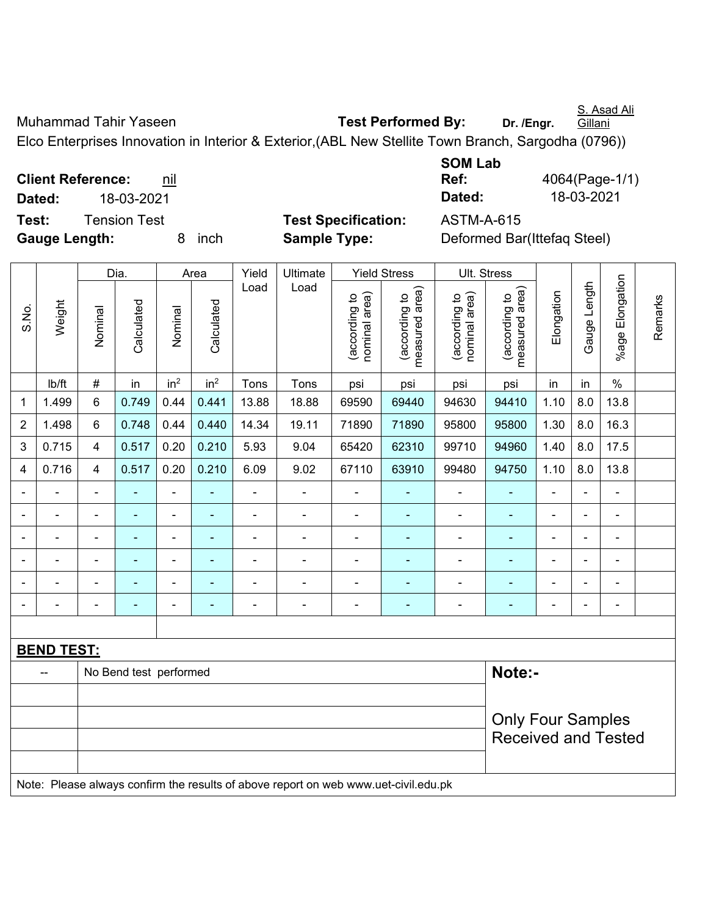S. Asad Ali **Gillani** 

Muhammad Tahir Yaseen **Test Performed By:** Dr. /Engr.

Elco Enterprises Innovation in Interior & Exterior,(ABL New Stellite Town Branch, Sargodha (0796))

**Client Reference:** nil **Test:** Tension Test **Test Specification:** ASTM-A-615

**Gauge Length:** 8 inch **Sample Type:** Deformed Bar(Ittefaq Steel)

**SOM Lab Ref:** 4064(Page-1/1) **Dated:** 18-03-2021 **Dated:** 18-03-2021

|                |                                                                                     |                          | Dia.                   |                          | Area                         | Yield                    | Ultimate                     |                                | <b>Yield Stress</b>             | Ult. Stress                    |                                 |                          |                |                          |         |
|----------------|-------------------------------------------------------------------------------------|--------------------------|------------------------|--------------------------|------------------------------|--------------------------|------------------------------|--------------------------------|---------------------------------|--------------------------------|---------------------------------|--------------------------|----------------|--------------------------|---------|
| S.No.          | Weight                                                                              | Nominal                  | Calculated             | Nominal                  | Calculated                   | Load                     | Load                         | nominal area)<br>(according to | measured area)<br>(according to | nominal area)<br>(according to | measured area)<br>(according to | Elongation               | Gauge Length   | %age Elongation          | Remarks |
|                | lb/ft                                                                               | #                        | in                     | in <sup>2</sup>          | in <sup>2</sup>              | Tons                     | Tons                         | psi                            | psi                             | psi                            | psi                             | in                       | in             | $\%$                     |         |
| 1              | 1.499                                                                               | 6                        | 0.749                  | 0.44                     | 0.441                        | 13.88                    | 18.88                        | 69590                          | 69440                           | 94630                          | 94410                           | 1.10                     | 8.0            | 13.8                     |         |
| $\overline{2}$ | 1.498                                                                               | 6                        | 0.748                  | 0.44                     | 0.440                        | 14.34                    | 19.11                        | 71890                          | 71890                           | 95800                          | 95800                           | 1.30                     | 8.0            | 16.3                     |         |
| 3              | 0.715                                                                               | 4                        | 0.517                  | 0.20                     | 0.210                        | 5.93                     | 9.04                         | 65420                          | 62310                           | 99710                          | 94960                           | 1.40                     | 8.0            | 17.5                     |         |
| 4              | 0.716                                                                               | 4                        | 0.517                  | 0.20                     | 0.210                        | 6.09                     | 9.02                         | 67110                          | 63910                           | 99480                          | 94750                           | 1.10                     | 8.0            | 13.8                     |         |
|                |                                                                                     | $\blacksquare$           |                        | $\blacksquare$           |                              |                          |                              |                                |                                 | -                              |                                 | L,                       |                |                          |         |
|                |                                                                                     | $\blacksquare$           | $\blacksquare$         | $\blacksquare$           | ÷                            | $\blacksquare$           | $\blacksquare$               | $\blacksquare$                 | $\blacksquare$                  | ۰                              | ٠                               | $\blacksquare$           | $\blacksquare$ | $\blacksquare$           |         |
|                | ۰                                                                                   | $\overline{\phantom{a}}$ | $\blacksquare$         | $\blacksquare$           | ä,                           | $\overline{\phantom{a}}$ | $\qquad \qquad \blacksquare$ | $\blacksquare$                 | ÷                               | ۰                              | ٠                               | $\overline{\phantom{a}}$ | ÷              | $\blacksquare$           |         |
|                | $\blacksquare$                                                                      | ä,                       | $\blacksquare$         | $\blacksquare$           | $\qquad \qquad \blacksquare$ | $\blacksquare$           | $\blacksquare$               | $\blacksquare$                 | $\blacksquare$                  | $\qquad \qquad \blacksquare$   | $\blacksquare$                  | $\overline{\phantom{a}}$ | $\blacksquare$ | $\blacksquare$           |         |
|                |                                                                                     | $\blacksquare$           | $\blacksquare$         | $\overline{\phantom{a}}$ | ۳                            | $\blacksquare$           | $\blacksquare$               | $\blacksquare$                 | $\blacksquare$                  | $\blacksquare$                 | $\blacksquare$                  | $\blacksquare$           | $\blacksquare$ | $\blacksquare$           |         |
|                | $\blacksquare$                                                                      | ä,                       | $\blacksquare$         | $\overline{\phantom{a}}$ | ۰                            | $\blacksquare$           | $\overline{\phantom{a}}$     | $\overline{\phantom{a}}$       | $\blacksquare$                  | $\overline{\phantom{a}}$       | $\blacksquare$                  | $\blacksquare$           |                | $\overline{\phantom{a}}$ |         |
|                |                                                                                     |                          |                        |                          |                              |                          |                              |                                |                                 |                                |                                 |                          |                |                          |         |
|                | <b>BEND TEST:</b>                                                                   |                          |                        |                          |                              |                          |                              |                                |                                 |                                |                                 |                          |                |                          |         |
|                | $-$                                                                                 |                          | No Bend test performed |                          |                              |                          |                              |                                |                                 |                                | Note:-                          |                          |                |                          |         |
|                |                                                                                     |                          |                        |                          |                              |                          |                              |                                |                                 |                                |                                 |                          |                |                          |         |
|                |                                                                                     | <b>Only Four Samples</b> |                        |                          |                              |                          |                              |                                |                                 |                                |                                 |                          |                |                          |         |
|                |                                                                                     |                          |                        |                          |                              |                          |                              |                                |                                 |                                | <b>Received and Tested</b>      |                          |                |                          |         |
|                |                                                                                     |                          |                        |                          |                              |                          |                              |                                |                                 |                                |                                 |                          |                |                          |         |
|                | Note: Please always confirm the results of above report on web www.uet-civil.edu.pk |                          |                        |                          |                              |                          |                              |                                |                                 |                                |                                 |                          |                |                          |         |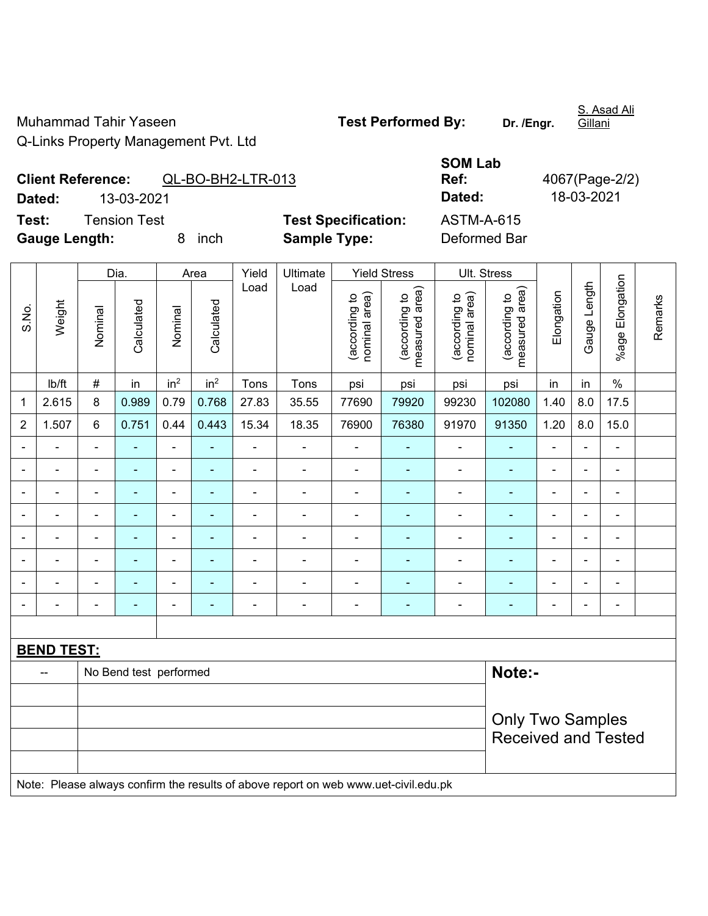Muhammad Tahir Yaseen **Test Performed By:** Dr. /Engr. Q-Links Property Management Pvt. Ltd

Gillani

## **Client Reference:** QL-BO-BH2-LTR-013 **Dated:** 13-03-2021 **Dated:** 18-03-2021

Test: Tension Test **Test Specification:** A **Gauge Length:** 8 inch **Sample Type:** Deformed Bar

| <b>SOM Lab</b>    |                |
|-------------------|----------------|
| Ref:              | 4067(Page-2/2) |
| Dated:            | 18-03-2021     |
| <b>ASTM-A-615</b> |                |
| Doformod Dor      |                |

|                |                   | Yield<br>Ultimate<br><b>Yield Stress</b><br>Dia.<br>Area |                        |                              |                 |                |                                                                                     |                                |                                 |                                | Ult. Stress                     |                |                          |                              |         |
|----------------|-------------------|----------------------------------------------------------|------------------------|------------------------------|-----------------|----------------|-------------------------------------------------------------------------------------|--------------------------------|---------------------------------|--------------------------------|---------------------------------|----------------|--------------------------|------------------------------|---------|
| S.No.          | Weight            | Nominal                                                  | Calculated             | Nominal                      | Calculated      | Load           | Load                                                                                | nominal area)<br>(according to | (according to<br>measured area) | (according to<br>nominal area) | (according to<br>measured area) | Elongation     | Gauge Length             | %age Elongation              | Remarks |
|                | lb/ft             | #                                                        | in                     | in <sup>2</sup>              | in <sup>2</sup> | Tons           | Tons                                                                                | psi                            | psi                             | psi                            | psi                             | in             | in                       | $\frac{0}{0}$                |         |
| $\mathbf 1$    | 2.615             | 8                                                        | 0.989                  | 0.79                         | 0.768           | 27.83          | 35.55                                                                               | 77690                          | 79920                           | 99230                          | 102080                          | 1.40           | 8.0                      | 17.5                         |         |
| $\overline{2}$ | 1.507             | 6                                                        | 0.751                  | 0.44                         | 0.443           | 15.34          | 18.35                                                                               | 76900                          | 76380                           | 91970                          | 91350                           | 1.20           | 8.0                      | 15.0                         |         |
|                | ä,                | $\blacksquare$                                           | ÷,                     | $\blacksquare$               | ä,              | $\blacksquare$ | ä,                                                                                  | ä,                             |                                 | $\blacksquare$                 | $\frac{1}{2}$                   | $\blacksquare$ | $\blacksquare$           | $\blacksquare$               |         |
| $\blacksquare$ | ä,                | $\overline{\phantom{a}}$                                 | ÷,                     | $\qquad \qquad \blacksquare$ | $\blacksquare$  | $\blacksquare$ | ÷,                                                                                  | $\blacksquare$                 | $\blacksquare$                  | $\blacksquare$                 | ä,                              | $\blacksquare$ | $\blacksquare$           | $\frac{1}{2}$                |         |
|                | $\blacksquare$    | $\blacksquare$                                           | ÷                      | $\overline{a}$               |                 | $\blacksquare$ | ÷,                                                                                  | $\blacksquare$                 |                                 | ÷                              | $\overline{a}$                  | ÷,             |                          | $\blacksquare$               |         |
|                |                   | $\blacksquare$                                           |                        | ÷                            |                 | $\blacksquare$ | Ē,                                                                                  | $\blacksquare$                 |                                 | $\blacksquare$                 |                                 | $\blacksquare$ |                          | $\blacksquare$               |         |
| $\equiv$       | $\blacksquare$    | $\blacksquare$                                           | $\blacksquare$         | ÷                            | $\blacksquare$  | $\overline{a}$ | $\overline{a}$                                                                      | $\blacksquare$                 | ۰                               | $\overline{a}$                 | ÷                               | $\blacksquare$ | $\overline{a}$           | ÷.                           |         |
| $\blacksquare$ | $\blacksquare$    | ä,                                                       | ٠                      | $\blacksquare$               | $\blacksquare$  | $\blacksquare$ | ä,                                                                                  | $\blacksquare$                 | ۰                               | $\overline{\phantom{a}}$       | $\blacksquare$                  | $\blacksquare$ | $\blacksquare$           | $\blacksquare$               |         |
|                | ÷                 | $\blacksquare$                                           | $\blacksquare$         | $\blacksquare$               | $\blacksquare$  | $\overline{a}$ | ÷                                                                                   | $\overline{a}$                 | ÷                               | $\overline{a}$                 | ÷                               | $\blacksquare$ | $\blacksquare$           | $\qquad \qquad \blacksquare$ |         |
| $\blacksquare$ | $\blacksquare$    | $\blacksquare$                                           | $\blacksquare$         | $\blacksquare$               | $\blacksquare$  | $\blacksquare$ | $\blacksquare$                                                                      | $\blacksquare$                 | ٠                               | $\blacksquare$                 | ÷,                              | $\blacksquare$ | $\overline{\phantom{a}}$ | $\blacksquare$               |         |
|                |                   |                                                          |                        |                              |                 |                |                                                                                     |                                |                                 |                                |                                 |                |                          |                              |         |
|                | <b>BEND TEST:</b> |                                                          |                        |                              |                 |                |                                                                                     |                                |                                 |                                |                                 |                |                          |                              |         |
|                |                   |                                                          | No Bend test performed |                              |                 |                |                                                                                     |                                |                                 |                                | Note:-                          |                |                          |                              |         |
|                |                   |                                                          |                        |                              |                 |                |                                                                                     |                                |                                 |                                |                                 |                |                          |                              |         |
|                |                   | <b>Only Two Samples</b><br><b>Received and Tested</b>    |                        |                              |                 |                |                                                                                     |                                |                                 |                                |                                 |                |                          |                              |         |
|                |                   |                                                          |                        |                              |                 |                | Note: Please always confirm the results of above report on web www.uet-civil.edu.pk |                                |                                 |                                |                                 |                |                          |                              |         |

S. Asad Ali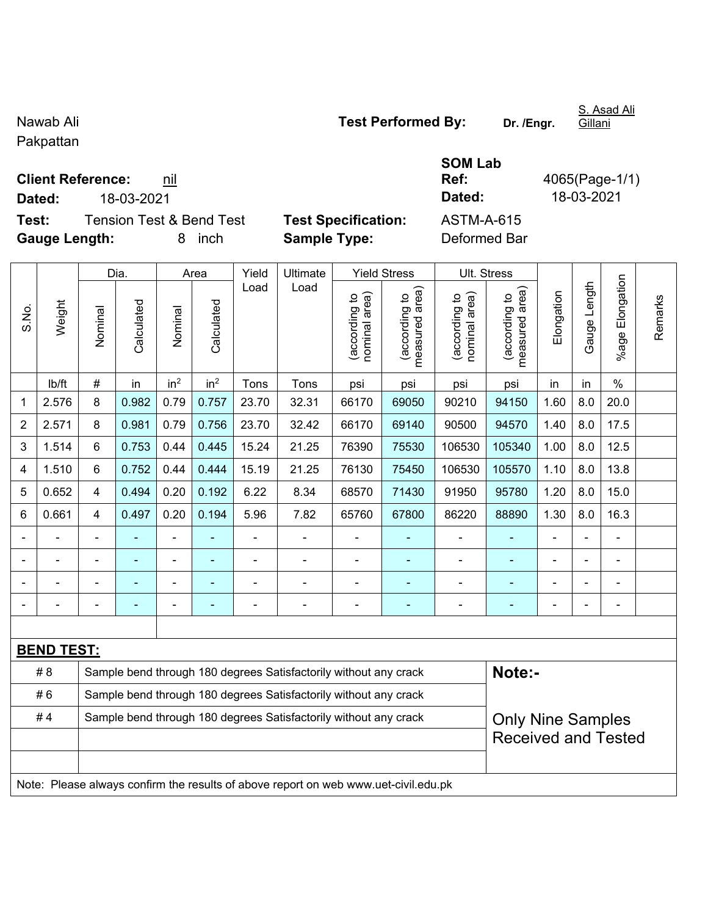Pakpattan

**Client Reference:** nil

**Test:** Tension Test & Bend Test **Test Specification:** ASTM-A-615 **Gauge Length:** 8 inch **Sample Type:** Deformed Bar

|                         |                   |                                                                  | Dia.           |                 | Area            | Yield | Ultimate                                                         |                                | <b>Yield Stress</b>             |                                | Ult. Stress                     |                |                |                          |         |
|-------------------------|-------------------|------------------------------------------------------------------|----------------|-----------------|-----------------|-------|------------------------------------------------------------------|--------------------------------|---------------------------------|--------------------------------|---------------------------------|----------------|----------------|--------------------------|---------|
| S.No.                   | Weight            | Nominal                                                          | Calculated     | Nominal         | Calculated      | Load  | Load                                                             | nominal area)<br>(according to | measured area)<br>(according to | nominal area)<br>(according to | measured area)<br>(according to | Elongation     | Gauge Length   | Elongation<br>$%$ age    | Remarks |
|                         | lb/ft             | $\#$                                                             | in             | in <sup>2</sup> | in <sup>2</sup> | Tons  | Tons                                                             | psi                            | psi                             | psi                            | psi                             | in             | in             | $\%$                     |         |
| 1                       | 2.576             | 8                                                                | 0.982          | 0.79            | 0.757           | 23.70 | 32.31                                                            | 66170                          | 69050                           | 90210                          | 94150                           | 1.60           | 8.0            | 20.0                     |         |
| $\overline{2}$          | 2.571             | 8                                                                | 0.981          | 0.79            | 0.756           | 23.70 | 32.42                                                            | 66170                          | 69140                           | 90500                          | 94570                           | 1.40           | 8.0            | 17.5                     |         |
| $\mathbf{3}$            | 1.514             | 6                                                                | 0.753          | 0.44            | 0.445           | 15.24 | 21.25                                                            | 76390                          | 75530                           | 106530                         | 105340                          | 1.00           | 8.0            | 12.5                     |         |
| $\overline{\mathbf{4}}$ | 1.510             | 6                                                                | 0.752          | 0.44            | 0.444           | 15.19 | 21.25                                                            | 76130                          | 75450                           | 106530                         | 105570                          | 1.10           | 8.0            | 13.8                     |         |
| 5                       | 0.652             | 4                                                                | 0.494          | 0.20            | 0.192           | 6.22  | 8.34                                                             | 68570                          | 71430                           | 91950                          | 95780                           | 1.20           | 8.0            | 15.0                     |         |
| 6                       | 0.661             | 4                                                                | 0.497          | 0.20            | 0.194           | 5.96  | 7.82                                                             | 65760                          | 67800                           | 86220                          | 88890                           | 1.30           | 8.0            | 16.3                     |         |
| $\blacksquare$          |                   |                                                                  |                |                 |                 |       |                                                                  |                                |                                 |                                |                                 |                |                | ۰                        |         |
|                         |                   |                                                                  |                | ۰               |                 |       | -                                                                |                                |                                 |                                |                                 |                |                |                          |         |
|                         |                   |                                                                  |                |                 |                 |       |                                                                  |                                |                                 |                                |                                 |                |                |                          |         |
|                         |                   | $\blacksquare$                                                   | $\blacksquare$ | -               |                 |       | -                                                                | -                              |                                 | $\overline{\phantom{0}}$       | ۰                               | $\blacksquare$ | $\blacksquare$ | $\overline{\phantom{0}}$ |         |
|                         |                   |                                                                  |                |                 |                 |       |                                                                  |                                |                                 |                                |                                 |                |                |                          |         |
|                         | <b>BEND TEST:</b> |                                                                  |                |                 |                 |       |                                                                  |                                |                                 |                                |                                 |                |                |                          |         |
|                         | # 8               |                                                                  |                |                 |                 |       | Sample bend through 180 degrees Satisfactorily without any crack |                                |                                 |                                | Note:-                          |                |                |                          |         |
|                         | #6                | Sample bend through 180 degrees Satisfactorily without any crack |                |                 |                 |       |                                                                  |                                |                                 |                                |                                 |                |                |                          |         |

| e bend through 180 degrees Satisfactorily without any crack | Note:- |
|-------------------------------------------------------------|--------|
| e bend through 180 degrees Satisfactorily without any crack |        |

#4 | Sample bend through 180 degrees Satisfactorily without any crack

Note: Please always confirm the results of above report on web www.uet-civil.edu.pk

**Ref:** 4065(Page-1/1) **Dated:** 18-03-2021 **Dated:** 18-03-2021

**SOM Lab** 

Only Nine Samples Received and Tested

S. Asad Ali **Gillani** 

Nawab Ali **Nawab Ali Nawab Ali Test Performed By:** Dr. /Engr.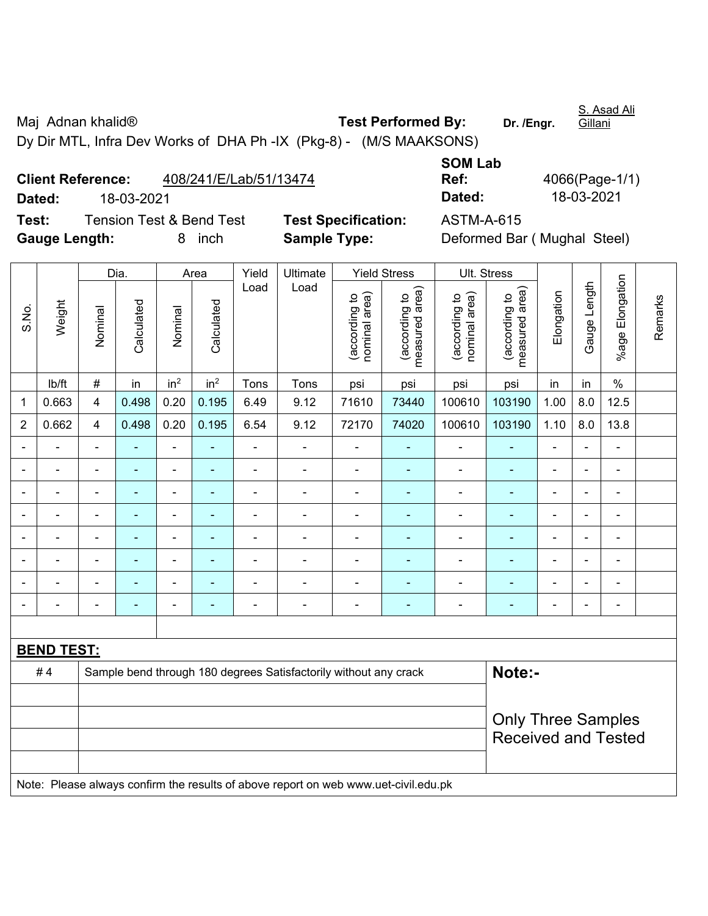Maj Adnan khalid<sup>®</sup> **Test Performed By:** Dr. /Engr.

S. Asad Ali Gillani

Dy Dir MTL, Infra Dev Works of DHA Ph -IX (Pkg-8) - (M/S MAAKSONS)

| <b>Client Reference:</b> | 408/241/E/Lab/51/13474    |                            | Ref:       | 4066(Page-1/ |
|--------------------------|---------------------------|----------------------------|------------|--------------|
| Dated:                   | 18-03-2021                |                            | Dated:     | 18-03-2021   |
| Test:                    | Tension Test & Bend Test_ | <b>Test Specification:</b> | ASTM-A-615 |              |

| <b>SOM Lab</b> |                |
|----------------|----------------|
| Ref:           | 4066(Page-1/1) |
| Dated:         | 18-03-2021     |

**Tecification:** ASTM-A-615 **Gauge Length:** 8 inch **Sample Type:** Deformed Bar ( Mughal Steel)

|                |                   |                         | Dia.                     |                 | Area            | Yield          | Ultimate                                                                            |                                | <b>Yield Stress</b>             |                                | Ult. Stress                     |                          |                |                 |         |
|----------------|-------------------|-------------------------|--------------------------|-----------------|-----------------|----------------|-------------------------------------------------------------------------------------|--------------------------------|---------------------------------|--------------------------------|---------------------------------|--------------------------|----------------|-----------------|---------|
| S.No.          | Weight            | Nominal                 | Calculated               | Nominal         | Calculated      | Load           | Load                                                                                | (according to<br>nominal area) | measured area)<br>(according to | nominal area)<br>(according to | (according to<br>measured area) | Elongation               | Gauge Length   | %age Elongation | Remarks |
|                | lb/ft             | $\#$                    | in                       | in <sup>2</sup> | in <sup>2</sup> | Tons           | Tons                                                                                | psi                            | psi                             | psi                            | psi                             | in                       | in             | $\%$            |         |
| 1              | 0.663             | $\overline{\mathbf{4}}$ | 0.498                    | 0.20            | 0.195           | 6.49           | 9.12                                                                                | 71610                          | 73440                           | 100610                         | 103190                          | 1.00                     | 8.0            | 12.5            |         |
| $\overline{2}$ | 0.662             | $\overline{4}$          | 0.498                    | 0.20            | 0.195           | 6.54           | 9.12                                                                                | 72170                          | 74020                           | 100610                         | 103190                          | 1.10                     | 8.0            | 13.8            |         |
|                |                   |                         |                          | ä,              |                 |                | $\blacksquare$                                                                      |                                |                                 | ä,                             |                                 |                          |                |                 |         |
|                |                   | $\blacksquare$          | -                        | $\blacksquare$  |                 | $\blacksquare$ | $\overline{\phantom{a}}$                                                            | $\blacksquare$                 |                                 | $\blacksquare$                 |                                 | ٠                        |                | $\blacksquare$  |         |
| $\blacksquare$ |                   | $\blacksquare$          | $\overline{\phantom{0}}$ | $\overline{a}$  |                 | $\blacksquare$ | $\overline{\phantom{a}}$                                                            | $\overline{a}$                 | $\overline{\phantom{a}}$        | $\overline{a}$                 | $\overline{\phantom{0}}$        | ٠                        | $\blacksquare$ | $\blacksquare$  |         |
| $\blacksquare$ |                   | $\blacksquare$          | ä,                       | ÷               |                 | $\blacksquare$ | $\blacksquare$                                                                      | $\blacksquare$                 | $\overline{\phantom{a}}$        | $\blacksquare$                 | $\overline{\phantom{0}}$        | $\overline{\phantom{0}}$ | $\blacksquare$ | $\blacksquare$  |         |
| $\blacksquare$ |                   | $\blacksquare$          | ٠                        | $\blacksquare$  | $\overline{a}$  | $\blacksquare$ | $\blacksquare$                                                                      | $\blacksquare$                 | $\blacksquare$                  | $\blacksquare$                 | $\blacksquare$                  | $\blacksquare$           | $\blacksquare$ | $\blacksquare$  |         |
|                |                   | $\blacksquare$          | $\blacksquare$           | $\blacksquare$  |                 | $\blacksquare$ | $\blacksquare$                                                                      |                                |                                 | $\blacksquare$                 |                                 |                          |                | $\blacksquare$  |         |
|                |                   |                         |                          |                 |                 |                |                                                                                     |                                |                                 |                                |                                 |                          |                | $\sim$          |         |
|                |                   | $\blacksquare$          |                          |                 |                 |                | $\blacksquare$                                                                      | $\blacksquare$                 |                                 | ٠                              |                                 |                          |                | $\blacksquare$  |         |
|                |                   |                         |                          |                 |                 |                |                                                                                     |                                |                                 |                                |                                 |                          |                |                 |         |
|                | <b>BEND TEST:</b> |                         |                          |                 |                 |                |                                                                                     |                                |                                 |                                |                                 |                          |                |                 |         |
|                | #4                |                         |                          |                 |                 |                | Sample bend through 180 degrees Satisfactorily without any crack                    |                                |                                 |                                | Note:-                          |                          |                |                 |         |
|                |                   |                         |                          |                 |                 |                |                                                                                     |                                |                                 |                                |                                 |                          |                |                 |         |
|                |                   |                         |                          |                 |                 |                |                                                                                     |                                |                                 |                                | <b>Only Three Samples</b>       |                          |                |                 |         |
|                |                   |                         |                          |                 |                 |                |                                                                                     |                                |                                 |                                | <b>Received and Tested</b>      |                          |                |                 |         |
|                |                   |                         |                          |                 |                 |                |                                                                                     |                                |                                 |                                |                                 |                          |                |                 |         |
|                |                   |                         |                          |                 |                 |                | Note: Please always confirm the results of above report on web www.uet-civil.edu.pk |                                |                                 |                                |                                 |                          |                |                 |         |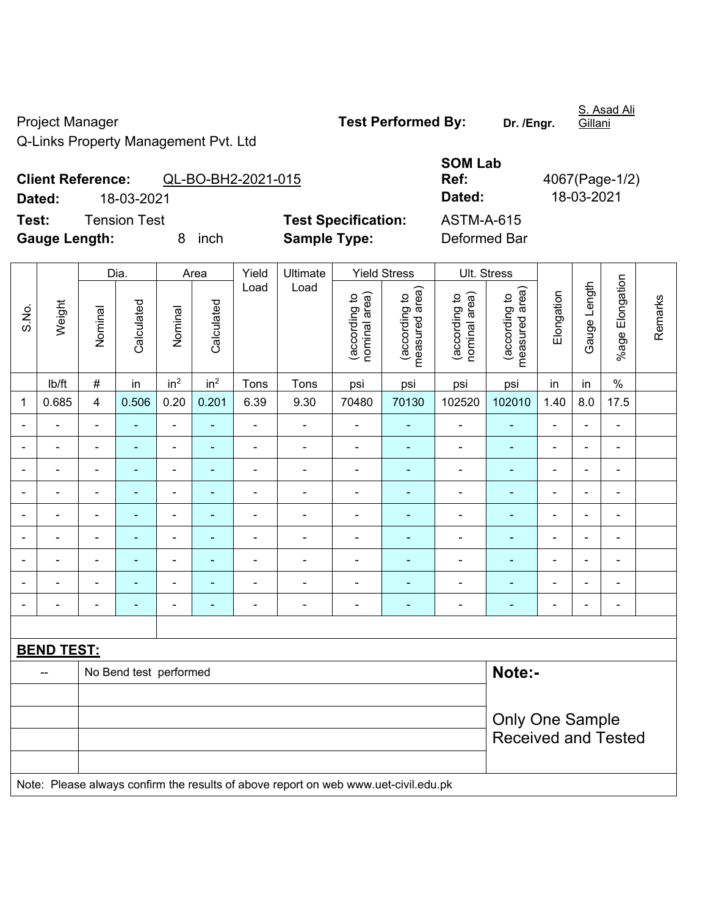Project Manager **Test Performed By:** Dr. /Engr.

S. Asad Ali Gillani

Q-Links Property Management Pvt. Ltd

|        | <b>SOM Lab</b> |                |
|--------|----------------|----------------|
|        | Ref:           | 4067(Page-1/2) |
|        | Dated:         | 18-03-2021     |
| ation: | ASTM-A-615     |                |

**Client Reference:** QL-BO-BH2-2021-015 **Dated:** 18-03-2021 **Dated:** 18-03-2021 **Test:** Tension Test **Test Specifica Gauge Length:** 8 inch **Sample Type:** Deformed Bar

|       |                                                                                     |                         | Dia.                   |                              | Area            | Yield          | Ultimate       |                                | <b>Yield Stress</b>             | Ult. Stress                    |                                 |                          |                |                 |         |
|-------|-------------------------------------------------------------------------------------|-------------------------|------------------------|------------------------------|-----------------|----------------|----------------|--------------------------------|---------------------------------|--------------------------------|---------------------------------|--------------------------|----------------|-----------------|---------|
| S.No. | Weight                                                                              | Nominal                 | Calculated             | Nominal                      | Calculated      | Load           | Load           | (according to<br>nominal area) | (according to<br>measured area) | (according to<br>nominal area) | measured area)<br>(according to | Elongation               | Gauge Length   | %age Elongation | Remarks |
|       | lb/ft                                                                               | $\#$                    | in                     | in <sup>2</sup>              | in <sup>2</sup> | Tons           | Tons           | psi                            | psi                             | psi                            | psi                             | in                       | in             | $\%$            |         |
| 1     | 0.685                                                                               | $\overline{\mathbf{4}}$ | 0.506                  | 0.20                         | 0.201           | 6.39           | 9.30           | 70480                          | 70130                           | 102520                         | 102010                          | 1.40                     | 8.0            | 17.5            |         |
|       |                                                                                     | $\blacksquare$          | ÷,                     | $\blacksquare$               | ä,              | ÷,             | $\blacksquare$ | ÷,                             | Ξ                               | $\blacksquare$                 | ÷,                              |                          | ä,             | $\blacksquare$  |         |
|       |                                                                                     |                         |                        | $\blacksquare$               |                 | $\blacksquare$ |                | $\blacksquare$                 | $\blacksquare$                  | $\blacksquare$                 | $\blacksquare$                  |                          |                | $\blacksquare$  |         |
|       |                                                                                     |                         |                        | $\blacksquare$               |                 |                |                |                                |                                 | ä,                             |                                 | ä,                       | Ē,             | ÷               |         |
|       |                                                                                     | $\blacksquare$          | $\blacksquare$         | $\overline{\phantom{0}}$     | ٠               | $\blacksquare$ | $\blacksquare$ | $\blacksquare$                 | ۰                               | $\blacksquare$                 | $\overline{\phantom{0}}$        | -                        | ÷              | $\blacksquare$  |         |
|       | $\blacksquare$                                                                      | $\blacksquare$          | $\blacksquare$         | $\blacksquare$               | $\blacksquare$  | L,             | ÷              | L,                             | ÷                               | $\blacksquare$                 | ٠                               | $\overline{\phantom{a}}$ | ÷,             | $\blacksquare$  |         |
|       | $\blacksquare$                                                                      | $\blacksquare$          | ٠                      | $\qquad \qquad \blacksquare$ | $\blacksquare$  | $\blacksquare$ | $\blacksquare$ | $\blacksquare$                 | ۰                               | $\blacksquare$                 | $\blacksquare$                  | $\blacksquare$           | ÷              | $\blacksquare$  |         |
|       | $\blacksquare$                                                                      | $\blacksquare$          | $\blacksquare$         | $\blacksquare$               | $\blacksquare$  | $\blacksquare$ | $\blacksquare$ | $\blacksquare$                 | ÷                               | $\blacksquare$                 | $\blacksquare$                  | L,                       | ÷,             | $\blacksquare$  |         |
|       |                                                                                     |                         | ۰                      | $\blacksquare$               | $\blacksquare$  | L,             | $\blacksquare$ | $\blacksquare$                 | ۰                               | $\blacksquare$                 | $\blacksquare$                  |                          |                | ÷               |         |
|       |                                                                                     |                         |                        | ۰                            |                 |                |                | Ē,                             | ÷                               |                                | $\blacksquare$                  | ä,                       | $\blacksquare$ | $\overline{a}$  |         |
|       |                                                                                     |                         |                        |                              |                 |                |                |                                |                                 |                                |                                 |                          |                |                 |         |
|       | <b>BEND TEST:</b>                                                                   |                         |                        |                              |                 |                |                |                                |                                 |                                |                                 |                          |                |                 |         |
|       | --                                                                                  |                         | No Bend test performed |                              |                 |                |                |                                |                                 |                                | Note:-                          |                          |                |                 |         |
|       |                                                                                     |                         |                        |                              |                 |                |                |                                |                                 |                                |                                 |                          |                |                 |         |
|       |                                                                                     | <b>Only One Sample</b>  |                        |                              |                 |                |                |                                |                                 |                                |                                 |                          |                |                 |         |
|       |                                                                                     |                         |                        |                              |                 |                |                |                                |                                 |                                | <b>Received and Tested</b>      |                          |                |                 |         |
|       | Note: Please always confirm the results of above report on web www.uet-civil.edu.pk |                         |                        |                              |                 |                |                |                                |                                 |                                |                                 |                          |                |                 |         |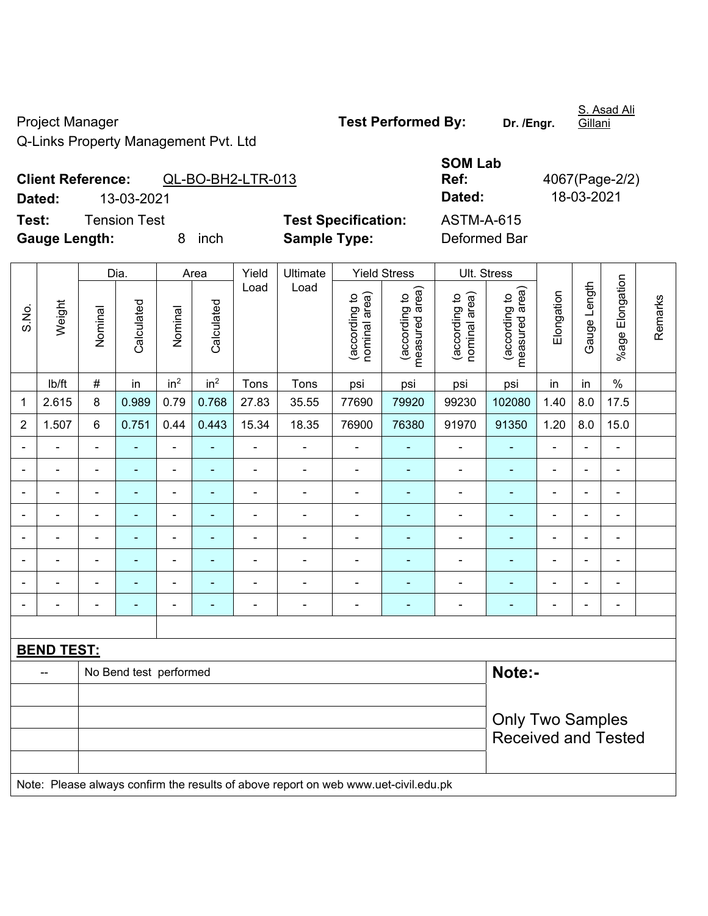Project Manager **Test Performed By:** Dr. /Engr.

S. Asad Ali Gillani

Q-Links Property Management Pvt. Ltd

**Client Reference:** QL-BO-BH2-LTR-013

## **SOM Lab Ref:** 4067(Page-2/2) **Dated:** 13-03-2021 **Dated:** 18-03-2021

**Test:** Tension Test **Test Specification:** ASTM-A-615 **Gauge Length:** 8 inch **Sample Type:** Deformed Bar

|                |                                                                                     |                | Dia.                   |                 | Area                     | Yield          | Ultimate                 |                                | <b>Yield Stress</b>             |                                | Ult. Stress                     |                          |                |                 |         |
|----------------|-------------------------------------------------------------------------------------|----------------|------------------------|-----------------|--------------------------|----------------|--------------------------|--------------------------------|---------------------------------|--------------------------------|---------------------------------|--------------------------|----------------|-----------------|---------|
| S.No.          | Weight                                                                              | Nominal        | Calculated             | Nominal         | Calculated               | Load           | Load                     | (according to<br>nominal area) | measured area)<br>(according to | nominal area)<br>(according to | (according to<br>measured area) | Elongation               | Gauge Length   | %age Elongation | Remarks |
|                | Ib/ft                                                                               | $\#$           | in                     | in <sup>2</sup> | in <sup>2</sup>          | Tons           | Tons                     | psi                            | psi                             | psi                            | psi                             | in                       | in             | $\%$            |         |
| $\mathbf{1}$   | 2.615                                                                               | 8              | 0.989                  | 0.79            | 0.768                    | 27.83          | 35.55                    | 77690                          | 79920                           | 99230                          | 102080                          | 1.40                     | 8.0            | 17.5            |         |
| $\overline{2}$ | 1.507                                                                               | $6\phantom{1}$ | 0.751                  | 0.44            | 0.443                    | 15.34          | 18.35                    | 76900                          | 76380                           | 91970                          | 91350                           | 1.20                     | 8.0            | 15.0            |         |
| $\blacksquare$ |                                                                                     | $\blacksquare$ | $\blacksquare$         | ä,              | $\blacksquare$           | $\blacksquare$ | $\overline{\phantom{a}}$ | ä,                             |                                 | ÷                              | $\blacksquare$                  | $\overline{a}$           | $\blacksquare$ | $\blacksquare$  |         |
| $\overline{a}$ |                                                                                     | $\overline{a}$ | $\blacksquare$         | ÷,              | $\overline{a}$           | $\blacksquare$ | $\frac{1}{2}$            | $\blacksquare$                 | $\overline{\phantom{a}}$        | $\blacksquare$                 | $\overline{\phantom{0}}$        | ÷                        | $\blacksquare$ | ÷,              |         |
| $\blacksquare$ |                                                                                     | $\blacksquare$ | $\blacksquare$         | ÷               | $\overline{a}$           | $\blacksquare$ | $\frac{1}{2}$            | $\blacksquare$                 | $\sim$                          | $\overline{\phantom{a}}$       | ٠                               | $\blacksquare$           | $\blacksquare$ | $\blacksquare$  |         |
| $\blacksquare$ | ٠                                                                                   | $\blacksquare$ | $\blacksquare$         | ÷               | $\overline{a}$           | $\blacksquare$ | ÷,                       | $\blacksquare$                 | $\overline{\phantom{a}}$        | ÷                              | $\overline{\phantom{0}}$        | $\blacksquare$           | ٠              | $\blacksquare$  |         |
|                |                                                                                     | $\blacksquare$ | ä,                     | $\blacksquare$  |                          | $\blacksquare$ | $\blacksquare$           | ä,                             | $\blacksquare$                  | $\blacksquare$                 | $\blacksquare$                  | $\overline{a}$           | $\blacksquare$ | $\blacksquare$  |         |
|                |                                                                                     | $\blacksquare$ | ۳                      | $\blacksquare$  |                          |                | ä,                       |                                |                                 |                                |                                 | $\blacksquare$           |                | $\blacksquare$  |         |
|                |                                                                                     |                |                        |                 |                          |                | $\blacksquare$           |                                |                                 |                                |                                 |                          |                |                 |         |
| $\blacksquare$ |                                                                                     | $\blacksquare$ | ٠                      | ۰               | $\overline{\phantom{a}}$ | $\blacksquare$ | $\overline{\phantom{a}}$ | $\overline{a}$                 | $\overline{\phantom{a}}$        | $\overline{a}$                 | $\overline{\phantom{0}}$        | $\overline{\phantom{0}}$ | $\blacksquare$ | $\blacksquare$  |         |
|                |                                                                                     |                |                        |                 |                          |                |                          |                                |                                 |                                |                                 |                          |                |                 |         |
|                | <b>BEND TEST:</b>                                                                   |                |                        |                 |                          |                |                          |                                |                                 |                                |                                 |                          |                |                 |         |
|                | $\overline{a}$                                                                      |                | No Bend test performed |                 |                          |                |                          |                                |                                 |                                | Note:-                          |                          |                |                 |         |
|                |                                                                                     |                |                        |                 |                          |                |                          |                                |                                 |                                |                                 |                          |                |                 |         |
|                |                                                                                     |                |                        |                 |                          |                |                          |                                |                                 |                                | <b>Only Two Samples</b>         |                          |                |                 |         |
|                |                                                                                     |                |                        |                 |                          |                |                          |                                |                                 |                                | <b>Received and Tested</b>      |                          |                |                 |         |
|                |                                                                                     |                |                        |                 |                          |                |                          |                                |                                 |                                |                                 |                          |                |                 |         |
|                | Note: Please always confirm the results of above report on web www.uet-civil.edu.pk |                |                        |                 |                          |                |                          |                                |                                 |                                |                                 |                          |                |                 |         |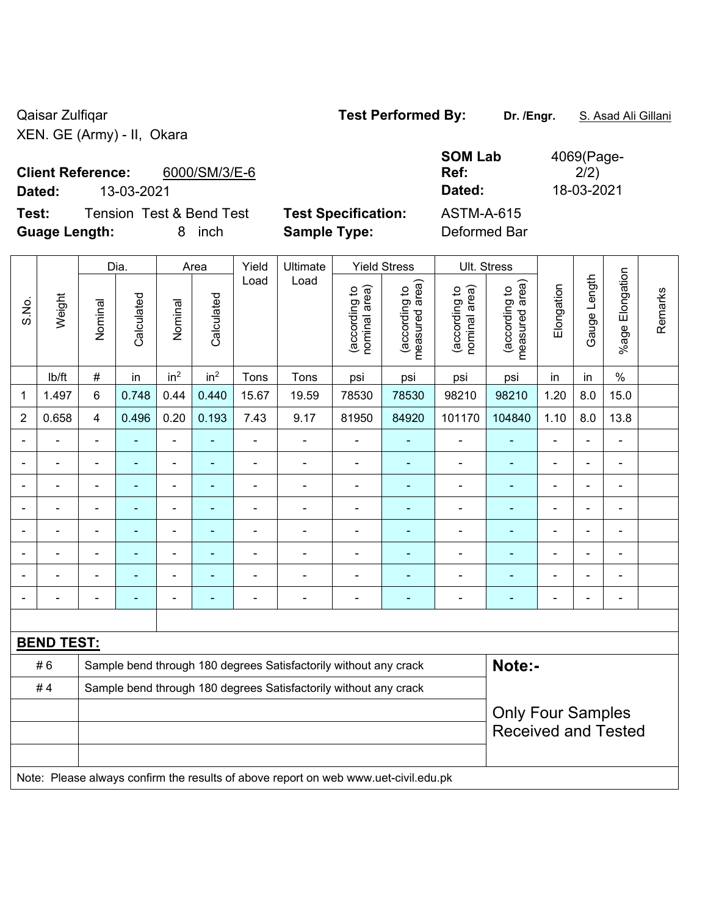Qaisar Zulfiqar **Test Performed By:** Dr. /Engr. **S. Asad Ali Gillani** Caisar Zulfiqar XEN. GE (Army) - II, Okara

**Client Reference:** 6000/SM/3/E-6

**Test:** Tension Test & Bend Test **Test Specification:** ASTM-A-615 **Guage Length:** 8 inch **Sample Type:** Deformed Bar

**SOM Lab Ref:**  4069(Page- $2/2)$ **Dated:** 13-03-2021 **Dated:** 18-03-2021

|                |                   |                | Dia.           |                              | Area            | Yield          | Ult. Stress                                                                         |                                |                                 |                                |                                             |                                                        |                |                       |         |  |
|----------------|-------------------|----------------|----------------|------------------------------|-----------------|----------------|-------------------------------------------------------------------------------------|--------------------------------|---------------------------------|--------------------------------|---------------------------------------------|--------------------------------------------------------|----------------|-----------------------|---------|--|
| S.No.          | Weight            | Nominal        | Calculated     | Nominal                      | Calculated      | Load           | Load                                                                                | nominal area)<br>(according to | measured area)<br>(according to | (according to<br>nominal area) | (according to<br>neasured area)<br>measured | Elongation                                             | Gauge Length   | Elongation<br>$%$ age | Remarks |  |
|                | lb/ft             | $\#$           | in             | in <sup>2</sup>              | in <sup>2</sup> | Tons           | Tons                                                                                | psi                            | psi                             | psi                            | psi                                         | in                                                     | in             | $\%$                  |         |  |
| $\mathbf 1$    | 1.497             | $6\phantom{1}$ | 0.748          | 0.44                         | 0.440           | 15.67          | 19.59                                                                               | 78530                          | 78530                           | 98210                          | 98210                                       | 1.20                                                   | 8.0            | 15.0                  |         |  |
| $\overline{2}$ | 0.658             | $\overline{4}$ | 0.496          | 0.20                         | 0.193           | 7.43           | 9.17                                                                                | 81950                          | 84920                           | 101170                         | 104840                                      | 1.10                                                   | 8.0            | 13.8                  |         |  |
|                |                   | ä,             | ÷              | ÷,                           | $\blacksquare$  | ä,             | ÷                                                                                   |                                |                                 | $\blacksquare$                 |                                             | ä,                                                     |                |                       |         |  |
|                |                   |                | ۰              | $\blacksquare$               |                 | $\blacksquare$ | $\overline{a}$                                                                      | $\blacksquare$                 |                                 | $\blacksquare$                 | ٠                                           | L.                                                     |                |                       |         |  |
|                |                   | $\blacksquare$ | $\blacksquare$ | $\blacksquare$               |                 | $\blacksquare$ | $\blacksquare$                                                                      | $\blacksquare$                 |                                 | $\blacksquare$                 | ۰                                           | $\blacksquare$                                         | $\blacksquare$ |                       |         |  |
|                |                   | $\blacksquare$ | ÷              | $\overline{\phantom{a}}$     | $\overline{a}$  | $\overline{a}$ | ÷                                                                                   |                                | ۰                               | $\blacksquare$                 | $\overline{\phantom{0}}$                    | -                                                      | $\blacksquare$ | $\blacksquare$        |         |  |
|                |                   | $\blacksquare$ | $\blacksquare$ | $\overline{\phantom{a}}$     | $\blacksquare$  | $\blacksquare$ | ÷                                                                                   | $\blacksquare$                 | ٠                               | $\blacksquare$                 | $\blacksquare$                              | $\blacksquare$                                         | $\blacksquare$ | $\blacksquare$        |         |  |
|                |                   | $\blacksquare$ | ÷              | $\qquad \qquad \blacksquare$ | ٠               | $\overline{a}$ | $\blacksquare$                                                                      |                                |                                 | $\blacksquare$                 | ۰                                           | ä,                                                     | $\blacksquare$ | $\blacksquare$        |         |  |
|                |                   |                |                |                              |                 |                |                                                                                     |                                |                                 |                                |                                             |                                                        |                |                       |         |  |
|                |                   | $\blacksquare$ |                |                              | ٠               | $\blacksquare$ | ÷                                                                                   |                                | ٠                               | $\blacksquare$                 | ۰                                           | ä,                                                     | $\blacksquare$ | $\blacksquare$        |         |  |
|                |                   |                |                |                              |                 |                |                                                                                     |                                |                                 |                                |                                             |                                                        |                |                       |         |  |
|                | <b>BEND TEST:</b> |                |                |                              |                 |                |                                                                                     |                                |                                 |                                |                                             |                                                        |                |                       |         |  |
|                | #6                |                |                |                              |                 |                | Sample bend through 180 degrees Satisfactorily without any crack                    |                                |                                 |                                | Note:-                                      |                                                        |                |                       |         |  |
|                | #4                |                |                |                              |                 |                | Sample bend through 180 degrees Satisfactorily without any crack                    |                                |                                 |                                |                                             |                                                        |                |                       |         |  |
|                |                   |                |                |                              |                 |                |                                                                                     |                                |                                 |                                |                                             | <b>Only Four Samples</b><br><b>Received and Tested</b> |                |                       |         |  |
|                |                   |                |                |                              |                 |                | Note: Please always confirm the results of above report on web www.uet-civil.edu.pk |                                |                                 |                                |                                             |                                                        |                |                       |         |  |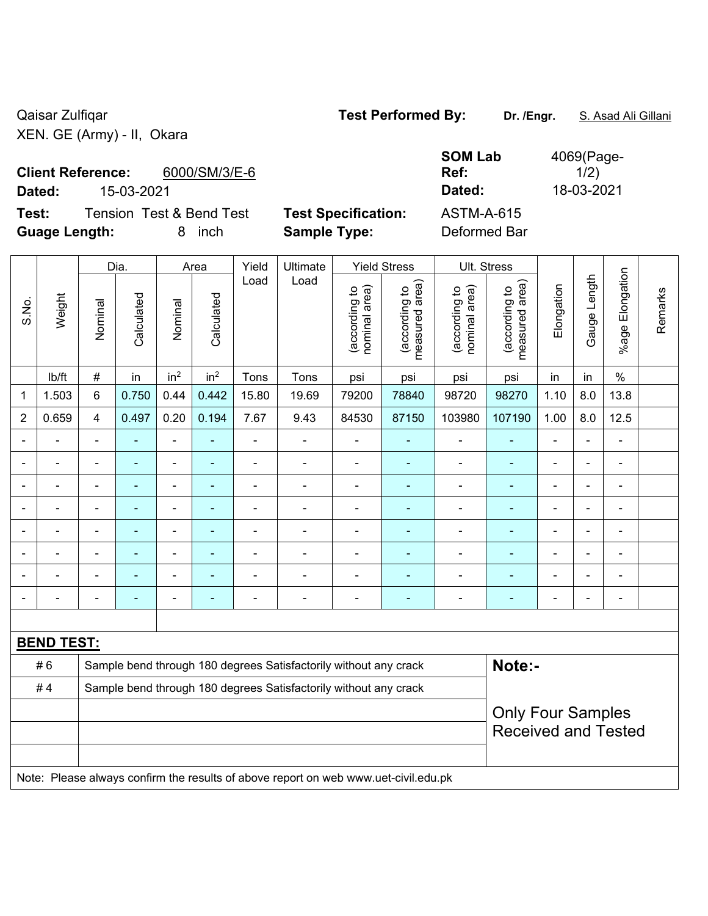Qaisar Zulfiqar **Test Performed By:** Dr. /Engr. **S. Asad Ali Gillani** Caisar Zulfiqar XEN. GE (Army) - II, Okara

# **Client Reference:** 6000/SM/3/E-6

**Test:** Tension Test & Bend Test **Test Specification:** ASTM-A-615 **Guage Length:** 8 inch **Sample Type:** Deformed Bar

**SOM Lab Ref:**  4069(Page- $1/2)$ **Dated:** 15-03-2021 **Dated:** 18-03-2021

|                |                   |                | Dia.           |                 | Area            | Yield          | Ultimate                                                                            |                                | <b>Yield Stress</b>             |                                | Ult. Stress                     |                |                |                 |         |
|----------------|-------------------|----------------|----------------|-----------------|-----------------|----------------|-------------------------------------------------------------------------------------|--------------------------------|---------------------------------|--------------------------------|---------------------------------|----------------|----------------|-----------------|---------|
| S.No.          | Weight            | Nominal        | Calculated     | Nominal         | Calculated      | Load           | Load                                                                                | nominal area)<br>(according to | measured area)<br>(according to | (according to<br>nominal area) | (according to<br>measured area) | Elongation     | Gauge Length   | %age Elongation | Remarks |
|                | lb/ft             | $\#$           | in             | in <sup>2</sup> | in <sup>2</sup> | Tons           | Tons                                                                                | psi                            | psi                             | psi                            | psi                             | in             | in             | $\%$            |         |
| 1              | 1.503             | 6              | 0.750          | 0.44            | 0.442           | 15.80          | 19.69                                                                               | 79200                          | 78840                           | 98720                          | 98270                           | 1.10           | 8.0            | 13.8            |         |
| $\overline{2}$ | 0.659             | $\overline{4}$ | 0.497          | 0.20            | 0.194           | 7.67           | 9.43                                                                                | 84530                          | 87150                           | 103980                         | 107190                          | 1.00           | 8.0            | 12.5            |         |
|                |                   |                |                | ä,              |                 |                |                                                                                     |                                |                                 |                                |                                 |                |                |                 |         |
|                |                   | $\blacksquare$ | $\blacksquare$ | ÷               | $\blacksquare$  | Ē,             | Ē,                                                                                  | $\blacksquare$                 | $\blacksquare$                  | $\blacksquare$                 | $\blacksquare$                  | $\blacksquare$ | $\blacksquare$ | $\blacksquare$  |         |
|                | $\blacksquare$    | $\blacksquare$ | $\blacksquare$ | ÷,              | ٠               | $\blacksquare$ | $\blacksquare$                                                                      | $\blacksquare$                 | $\blacksquare$                  | $\overline{\phantom{a}}$       | $\blacksquare$                  | $\blacksquare$ | $\blacksquare$ | $\blacksquare$  |         |
|                | ÷                 | ä,             | ٠              | ÷,              |                 | $\blacksquare$ | Ē,                                                                                  | $\blacksquare$                 | $\blacksquare$                  | $\blacksquare$                 | ٠                               | $\blacksquare$ | $\blacksquare$ | $\blacksquare$  |         |
|                | $\blacksquare$    |                | $\blacksquare$ | ÷,              |                 | L,             | ä,                                                                                  | $\blacksquare$                 | ۰                               | $\blacksquare$                 | ÷,                              | $\blacksquare$ |                | $\blacksquare$  |         |
|                |                   |                | ۳              | ÷               |                 | $\blacksquare$ |                                                                                     |                                |                                 | $\blacksquare$                 | L.                              |                |                |                 |         |
|                |                   |                |                |                 |                 |                |                                                                                     |                                |                                 |                                |                                 |                |                |                 |         |
|                | $\blacksquare$    |                | -              | ÷               |                 | $\blacksquare$ | $\overline{\phantom{0}}$                                                            | $\blacksquare$                 | ۰                               | $\blacksquare$                 | ۰                               | $\blacksquare$ | $\blacksquare$ | $\blacksquare$  |         |
|                |                   |                |                |                 |                 |                |                                                                                     |                                |                                 |                                |                                 |                |                |                 |         |
|                | <b>BEND TEST:</b> |                |                |                 |                 |                |                                                                                     |                                |                                 |                                |                                 |                |                |                 |         |
|                | #6                |                |                |                 |                 |                | Sample bend through 180 degrees Satisfactorily without any crack                    |                                |                                 |                                | Note:-                          |                |                |                 |         |
|                | #4                |                |                |                 |                 |                | Sample bend through 180 degrees Satisfactorily without any crack                    |                                |                                 |                                |                                 |                |                |                 |         |
|                |                   |                |                |                 |                 |                |                                                                                     |                                |                                 |                                | <b>Only Four Samples</b>        |                |                |                 |         |
|                |                   |                |                |                 |                 |                |                                                                                     |                                |                                 |                                | <b>Received and Tested</b>      |                |                |                 |         |
|                |                   |                |                |                 |                 |                |                                                                                     |                                |                                 |                                |                                 |                |                |                 |         |
|                |                   |                |                |                 |                 |                | Note: Please always confirm the results of above report on web www.uet-civil.edu.pk |                                |                                 |                                |                                 |                |                |                 |         |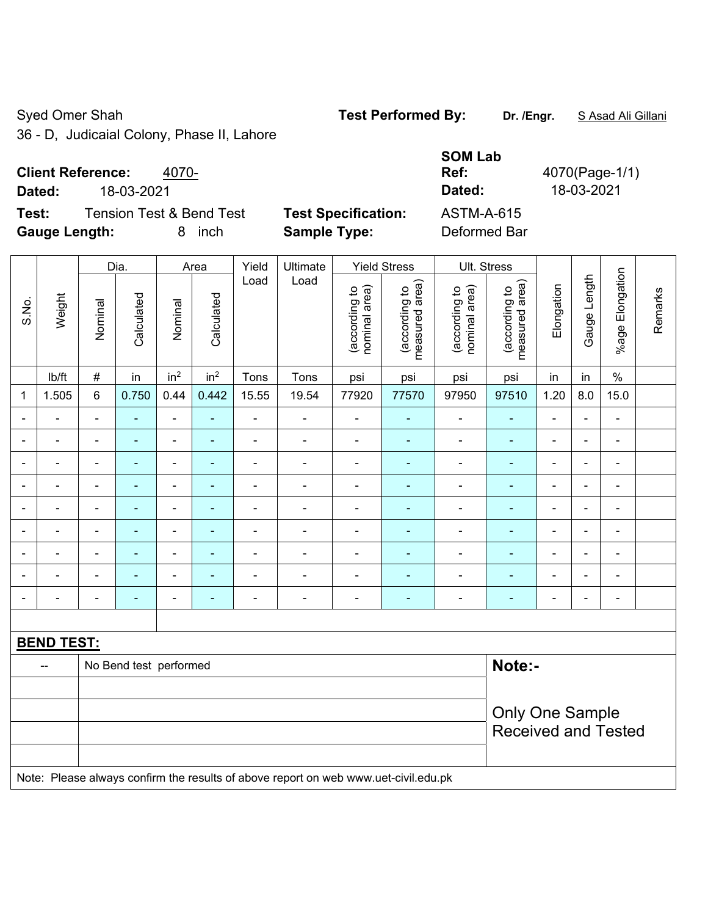Syed Omer Shah **Test Performed By:** Dr. /Engr. **SAsad Ali Gillani** Syed Omer Shah

36 - D, Judicaial Colony, Phase II, Lahore

## **Client Reference:** 4070-

**Dated:** 18-03-2021 **Dated:** 18-03-2021

**Test:** Tension Test & Bend Test **Test Specification: Gauge Length:** 8 inch **Sample Type:** Deformed Bar

| <b>SOM Lab</b>    |                |
|-------------------|----------------|
| Ref:              | 4070(Page-1/1) |
| Dated:            | 18-03-2021     |
| <b>ASTM-A-615</b> |                |
| Deformed Rar      |                |

|                |                   |                | Dia.                   |                          | Area            | Yield          | Ultimate                                                                            |                                | <b>Yield Stress</b>             |                                | Ult. Stress                     |                          |                |                          |         |
|----------------|-------------------|----------------|------------------------|--------------------------|-----------------|----------------|-------------------------------------------------------------------------------------|--------------------------------|---------------------------------|--------------------------------|---------------------------------|--------------------------|----------------|--------------------------|---------|
| S.No.          | Weight            | Nominal        | Calculated             | Nominal                  | Calculated      | Load           | Load                                                                                | nominal area)<br>(according to | measured area)<br>(according to | (according to<br>nominal area) | (according to<br>measured area) | Elongation               | Gauge Length   | %age Elongation          | Remarks |
|                | lb/ft             | #              | in                     | in <sup>2</sup>          | in <sup>2</sup> | Tons           | Tons                                                                                | psi                            | psi                             | psi                            | psi                             | in                       | in             | $\%$                     |         |
| $\mathbf{1}$   | 1.505             | 6              | 0.750                  | 0.44                     | 0.442           | 15.55          | 19.54                                                                               | 77920                          | 77570                           | 97950                          | 97510                           | 1.20                     | 8.0            | 15.0                     |         |
| $\blacksquare$ | ÷,                | $\blacksquare$ | ÷,                     | $\blacksquare$           | $\blacksquare$  | $\blacksquare$ | $\blacksquare$                                                                      | $\blacksquare$                 | $\blacksquare$                  | $\blacksquare$                 | $\blacksquare$                  | $\blacksquare$           | ÷.             | $\blacksquare$           |         |
| ä,             | $\blacksquare$    | $\blacksquare$ | ÷,                     | $\blacksquare$           | $\blacksquare$  | ä,             | ÷                                                                                   | $\blacksquare$                 | ä,                              | $\blacksquare$                 | $\blacksquare$                  | $\blacksquare$           | $\blacksquare$ | $\blacksquare$           |         |
| $\blacksquare$ | ÷.                | $\blacksquare$ | $\blacksquare$         | $\blacksquare$           | ÷               | $\blacksquare$ | ÷                                                                                   | ÷,                             | ٠                               | ÷                              | $\blacksquare$                  | $\blacksquare$           |                | $\overline{\phantom{0}}$ |         |
|                | $\blacksquare$    | $\blacksquare$ |                        | ٠                        |                 |                | $\blacksquare$                                                                      | $\overline{\phantom{a}}$       | $\blacksquare$                  | $\blacksquare$                 | $\blacksquare$                  | $\sim$                   |                | ۳                        |         |
|                | ÷                 |                |                        | $\overline{\phantom{a}}$ |                 |                |                                                                                     | Ē,                             | ÷                               |                                |                                 |                          |                | ÷                        |         |
| $\blacksquare$ | ۰                 | $\blacksquare$ | ٠                      | $\overline{\phantom{a}}$ | $\blacksquare$  | $\blacksquare$ | $\blacksquare$                                                                      | $\blacksquare$                 | $\blacksquare$                  | ۰                              | -                               | $\blacksquare$           | $\blacksquare$ | ۰                        |         |
| $\blacksquare$ | $\blacksquare$    | $\blacksquare$ | $\blacksquare$         | $\blacksquare$           | $\blacksquare$  | $\blacksquare$ | $\blacksquare$                                                                      | $\blacksquare$                 | $\blacksquare$                  | $\blacksquare$                 | $\blacksquare$                  | $\blacksquare$           | $\blacksquare$ | $\blacksquare$           |         |
|                | $\frac{1}{2}$     | $\blacksquare$ | $\blacksquare$         | $\blacksquare$           | ÷               | $\blacksquare$ | ÷                                                                                   | ÷,                             | ÷                               | ÷,                             | $\blacksquare$                  | $\blacksquare$           |                | $\blacksquare$           |         |
| $\blacksquare$ | $\overline{a}$    | $\blacksquare$ | $\blacksquare$         | $\overline{\phantom{a}}$ | $\blacksquare$  | $\overline{a}$ | $\blacksquare$                                                                      | $\overline{\phantom{a}}$       | ٠                               | $\blacksquare$                 | $\blacksquare$                  | $\overline{\phantom{a}}$ |                | $\overline{\phantom{0}}$ |         |
|                |                   |                |                        |                          |                 |                |                                                                                     |                                |                                 |                                |                                 |                          |                |                          |         |
|                | <b>BEND TEST:</b> |                |                        |                          |                 |                |                                                                                     |                                |                                 |                                |                                 |                          |                |                          |         |
|                | --                |                | No Bend test performed |                          |                 |                |                                                                                     |                                |                                 |                                | Note:-                          |                          |                |                          |         |
|                |                   |                |                        |                          |                 |                |                                                                                     |                                |                                 |                                |                                 |                          |                |                          |         |
|                |                   |                |                        |                          |                 |                |                                                                                     |                                |                                 |                                | <b>Only One Sample</b>          |                          |                |                          |         |
|                |                   |                |                        |                          |                 |                |                                                                                     |                                |                                 |                                | <b>Received and Tested</b>      |                          |                |                          |         |
|                |                   |                |                        |                          |                 |                |                                                                                     |                                |                                 |                                |                                 |                          |                |                          |         |
|                |                   |                |                        |                          |                 |                | Note: Please always confirm the results of above report on web www.uet-civil.edu.pk |                                |                                 |                                |                                 |                          |                |                          |         |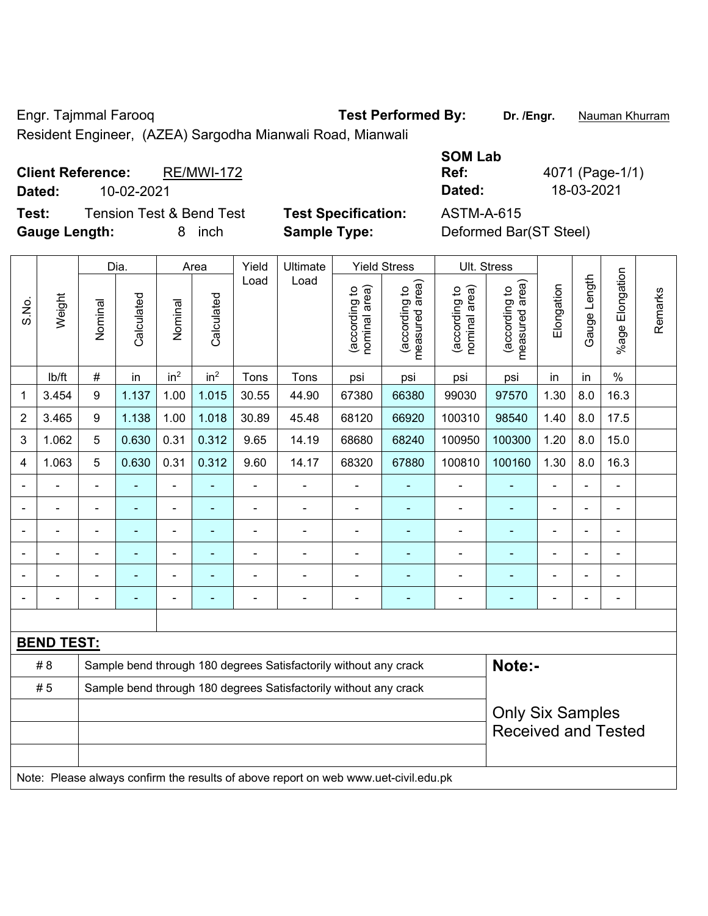Engr. Tajmmal Farooq **Test Performed By: Dr. /Engr.** Nauman Khurram

Resident Engineer, (AZEA) Sargodha Mianwali Road, Mianwali

**Client Reference:** RE/MWI-172 **Dated:** 10-02-2021 **Dated:** 18-03-2021 **Test:** Tension Test & Bend Test **Test Specification:** ASTM-A-615

**Gauge Length:** 8 inch **Sample Type:** Deformed Bar(ST Steel)

**SOM Lab Ref:** 4071 (Page-1/1)

|                |                   |                  | Dia.           |                                                                  | Area            | Yield          | Ultimate                                                                            |                                | <b>Yield Stress</b>             |                                | Ult. Stress                     |                |              |                       |         |
|----------------|-------------------|------------------|----------------|------------------------------------------------------------------|-----------------|----------------|-------------------------------------------------------------------------------------|--------------------------------|---------------------------------|--------------------------------|---------------------------------|----------------|--------------|-----------------------|---------|
| S.No.          | Weight            | Nominal          | Calculated     | Nominal                                                          | Calculated      | Load           | Load                                                                                | (according to<br>nominal area) | (according to<br>measured area) | nominal area)<br>(according to | (according to<br>measured area) | Elongation     | Gauge Length | Elongation<br>$%$ age | Remarks |
|                | lb/ft             | $\#$             | in             | in <sup>2</sup>                                                  | in <sup>2</sup> | Tons           | Tons                                                                                | psi                            | psi                             | psi                            | psi                             | in             | in           | $\%$                  |         |
| 1              | 3.454             | $\boldsymbol{9}$ | 1.137          | 1.00                                                             | 1.015           | 30.55          | 44.90                                                                               | 67380                          | 66380                           | 99030                          | 97570                           | 1.30           | 8.0          | 16.3                  |         |
| $\overline{2}$ | 3.465             | 9                | 1.138          | 1.00                                                             | 1.018           | 30.89          | 45.48                                                                               | 68120                          | 66920                           | 100310                         | 98540                           | 1.40           | 8.0          | 17.5                  |         |
| 3              | 1.062             | 5                | 0.630          | 0.31                                                             | 0.312           | 9.65           | 14.19                                                                               | 68680                          | 68240                           | 100950                         | 100300                          | 1.20           | 8.0          | 15.0                  |         |
| 4              | 1.063             | 5                | 0.630          | 0.31                                                             | 0.312           | 9.60           | 14.17                                                                               | 68320                          | 67880                           | 100810                         | 100160                          | 1.30           | 8.0          | 16.3                  |         |
|                | ÷.                | $\blacksquare$   | $\blacksquare$ | ÷,                                                               | ä,              | ÷,             | ä,                                                                                  | ä,                             | $\blacksquare$                  | $\blacksquare$                 | $\blacksquare$                  | $\blacksquare$ |              | $\overline{a}$        |         |
|                | $\blacksquare$    |                  |                |                                                                  |                 | $\blacksquare$ | ÷                                                                                   | $\blacksquare$                 |                                 | ÷,                             |                                 |                |              | ÷                     |         |
|                | $\blacksquare$    |                  | $\blacksquare$ | $\overline{\phantom{0}}$                                         | ۰               |                | $\blacksquare$                                                                      | $\blacksquare$                 | ٠                               | $\blacksquare$                 | ٠                               | $\blacksquare$ |              | ۰                     |         |
|                | $\blacksquare$    | $\blacksquare$   |                | ÷                                                                | ۰               |                | L.                                                                                  | $\blacksquare$                 | ٠                               | $\blacksquare$                 | $\blacksquare$                  | $\blacksquare$ |              | $\blacksquare$        |         |
| $\blacksquare$ | $\blacksquare$    | $\blacksquare$   |                | $\blacksquare$                                                   | ۰               |                | ÷                                                                                   | $\blacksquare$                 | $\blacksquare$                  | Ē,                             | ÷                               | $\blacksquare$ |              | $\blacksquare$        |         |
| $\blacksquare$ | $\blacksquare$    | $\blacksquare$   | $\blacksquare$ | ÷                                                                | $\blacksquare$  | $\blacksquare$ | $\blacksquare$                                                                      | $\blacksquare$                 | ٠                               | $\blacksquare$                 | $\blacksquare$                  | $\blacksquare$ |              | $\blacksquare$        |         |
|                |                   |                  |                |                                                                  |                 |                |                                                                                     |                                |                                 |                                |                                 |                |              |                       |         |
|                | <b>BEND TEST:</b> |                  |                |                                                                  |                 |                |                                                                                     |                                |                                 |                                |                                 |                |              |                       |         |
|                | #8                |                  |                |                                                                  |                 |                | Sample bend through 180 degrees Satisfactorily without any crack                    |                                |                                 |                                | Note:-                          |                |              |                       |         |
|                | # 5               |                  |                | Sample bend through 180 degrees Satisfactorily without any crack |                 |                |                                                                                     |                                |                                 |                                |                                 |                |              |                       |         |
|                |                   |                  |                |                                                                  |                 |                |                                                                                     |                                |                                 |                                | <b>Only Six Samples</b>         |                |              |                       |         |
|                |                   |                  |                |                                                                  |                 |                |                                                                                     |                                |                                 |                                | <b>Received and Tested</b>      |                |              |                       |         |
|                |                   |                  |                |                                                                  |                 |                |                                                                                     |                                |                                 |                                |                                 |                |              |                       |         |
|                |                   |                  |                |                                                                  |                 |                | Note: Please always confirm the results of above report on web www.uet-civil.edu.pk |                                |                                 |                                |                                 |                |              |                       |         |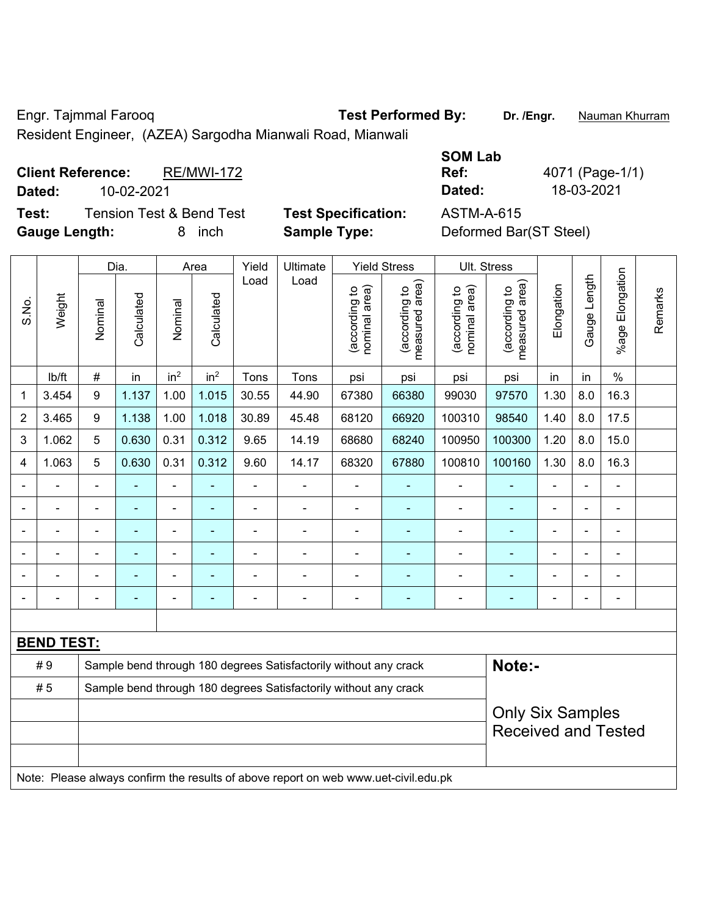Engr. Tajmmal Farooq **Test Performed By: Dr. /Engr.** Nauman Khurram

Resident Engineer, (AZEA) Sargodha Mianwali Road, Mianwali

**Client Reference:** RE/MWI-172 **Dated:** 10-02-2021 **Dated:** 18-03-2021 **Test:** Tension Test & Bend Test **Test Specification:** ASTM-A-615

**Gauge Length:** 8 inch **Sample Type:** Deformed Bar(ST Steel)

**SOM Lab Ref:** 4071 (Page-1/1)

|                |                   |                                                       | Dia.                                                                       |                 | Area            | Yield          | Ultimate                                                                            |                                | <b>Yield Stress</b>             |                                | Ult. Stress                     |                |              |                       |         |
|----------------|-------------------|-------------------------------------------------------|----------------------------------------------------------------------------|-----------------|-----------------|----------------|-------------------------------------------------------------------------------------|--------------------------------|---------------------------------|--------------------------------|---------------------------------|----------------|--------------|-----------------------|---------|
| S.No.          | Weight            | Nominal                                               | Calculated                                                                 | Nominal         | Calculated      | Load           | Load                                                                                | (according to<br>nominal area) | (according to<br>measured area) | nominal area)<br>(according to | (according to<br>measured area) | Elongation     | Gauge Length | Elongation<br>$%$ age | Remarks |
|                | lb/ft             | #                                                     | in                                                                         | in <sup>2</sup> | in <sup>2</sup> | Tons           | Tons                                                                                | psi                            | psi                             | psi                            | psi                             | in             | in           | $\%$                  |         |
| 1              | 3.454             | $\boldsymbol{9}$                                      | 1.137                                                                      | 1.00            | 1.015           | 30.55          | 44.90                                                                               | 67380                          | 66380                           | 99030                          | 97570                           | 1.30           | 8.0          | 16.3                  |         |
| $\overline{2}$ | 3.465             | 9                                                     | 1.138                                                                      | 1.00            | 1.018           | 30.89          | 45.48                                                                               | 68120                          | 66920                           | 100310                         | 98540                           | 1.40           | 8.0          | 17.5                  |         |
| 3              | 1.062             | 5                                                     | 0.630                                                                      | 0.31            | 0.312           | 9.65           | 14.19                                                                               | 68680                          | 68240                           | 100950                         | 100300                          | 1.20           | 8.0          | 15.0                  |         |
| 4              | 1.063             | 5                                                     | 0.630                                                                      | 0.31            | 0.312           | 9.60           | 14.17                                                                               | 68320                          | 67880                           | 100810                         | 100160                          | 1.30           | 8.0          | 16.3                  |         |
|                | ÷                 |                                                       | ÷,                                                                         | $\blacksquare$  |                 | $\blacksquare$ | ÷                                                                                   | ä,                             |                                 | $\blacksquare$                 | $\blacksquare$                  | $\blacksquare$ |              | ä,                    |         |
|                | $\blacksquare$    | $\blacksquare$                                        | ä,                                                                         | ÷,              | ۰               | $\blacksquare$ | ä,                                                                                  | L,                             | ۰                               | $\blacksquare$                 | $\blacksquare$                  | $\overline{a}$ |              | $\blacksquare$        |         |
|                |                   |                                                       | ÷,                                                                         | $\blacksquare$  |                 |                | $\blacksquare$                                                                      | $\blacksquare$                 |                                 | $\blacksquare$                 | $\blacksquare$                  | $\blacksquare$ |              | $\blacksquare$        |         |
|                |                   |                                                       |                                                                            | ۰               |                 |                |                                                                                     | $\blacksquare$                 |                                 | $\blacksquare$                 |                                 |                |              |                       |         |
|                |                   |                                                       |                                                                            | ۰               |                 |                | $\blacksquare$                                                                      |                                |                                 | $\overline{\phantom{a}}$       | $\blacksquare$                  |                |              | $\blacksquare$        |         |
|                |                   |                                                       | ۰                                                                          | ۰               |                 |                | $\blacksquare$                                                                      |                                | ۰                               | $\blacksquare$                 | $\blacksquare$                  | $\blacksquare$ |              | ÷                     |         |
|                |                   |                                                       |                                                                            |                 |                 |                |                                                                                     |                                |                                 |                                |                                 |                |              |                       |         |
|                | <b>BEND TEST:</b> |                                                       |                                                                            |                 |                 |                |                                                                                     |                                |                                 |                                |                                 |                |              |                       |         |
|                | #9                |                                                       | Sample bend through 180 degrees Satisfactorily without any crack<br>Note:- |                 |                 |                |                                                                                     |                                |                                 |                                |                                 |                |              |                       |         |
|                | #5                |                                                       | Sample bend through 180 degrees Satisfactorily without any crack           |                 |                 |                |                                                                                     |                                |                                 |                                |                                 |                |              |                       |         |
|                |                   | <b>Only Six Samples</b><br><b>Received and Tested</b> |                                                                            |                 |                 |                |                                                                                     |                                |                                 |                                |                                 |                |              |                       |         |
|                |                   |                                                       |                                                                            |                 |                 |                | Note: Please always confirm the results of above report on web www.uet-civil.edu.pk |                                |                                 |                                |                                 |                |              |                       |         |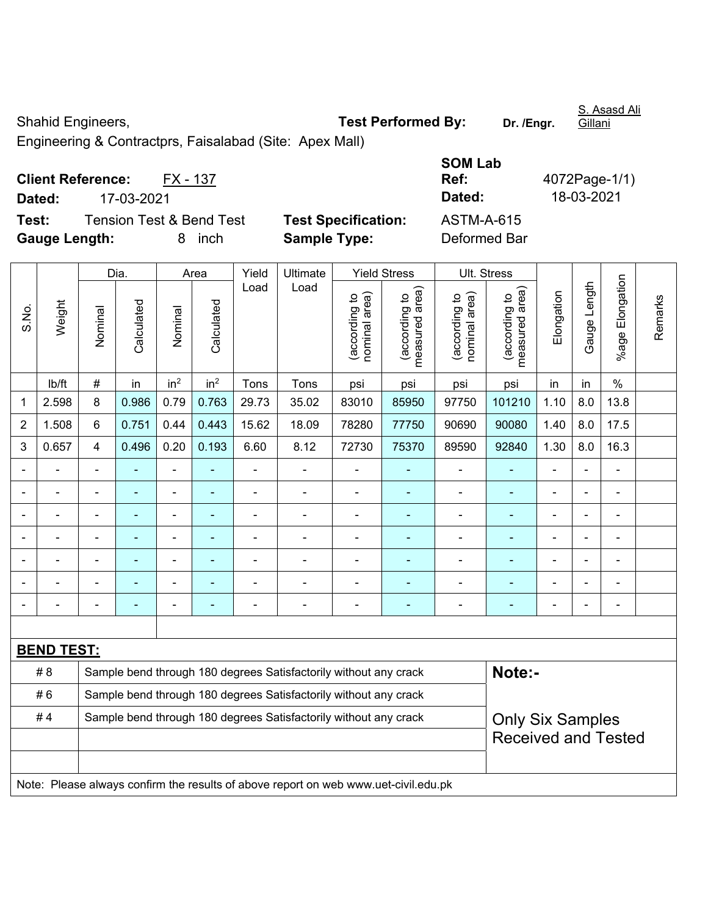Shahid Engineers, **Test Performed By:** Dr. /Engr.

S. Asasd Ali Gillani

Engineering & Contractprs, Faisalabad (Site: Apex Mall)

**Client Reference:** FX - 137 **Dated:** 17-03-2021 **Dated:** 18-03-2021 **Test:** Tension Test & Bend Test **Test Specification: Gauge Length:** 8 inch **Sample Type:** Deformed Bar

| <b>SOM Lab</b> |               |
|----------------|---------------|
| Ref:           | 4072Page-1/1) |
| Dated:         | 18-03-2021    |
| ASTM-A-615     |               |
| Deformed Rar   |               |

|                |                                                                                     |                | Dia.                                                             |                              | Area            | Yield          | Ultimate                                                         |                                | <b>Yield Stress</b>                         |                                | Ult. Stress                     |                |              |                          |         |
|----------------|-------------------------------------------------------------------------------------|----------------|------------------------------------------------------------------|------------------------------|-----------------|----------------|------------------------------------------------------------------|--------------------------------|---------------------------------------------|--------------------------------|---------------------------------|----------------|--------------|--------------------------|---------|
| S.No.          | Weight                                                                              | Nominal        | Calculated                                                       | Nominal                      | Calculated      | Load           | Load                                                             | nominal area)<br>(according to | (according to<br>measured area)<br>measured | nominal area)<br>(according to | (according to<br>measured area) | Elongation     | Gauge Length | Elongation<br>%age l     | Remarks |
|                | lb/ft                                                                               | $\#$           | in                                                               | in <sup>2</sup>              | in <sup>2</sup> | Tons           | Tons                                                             | psi                            | psi                                         | psi                            | psi                             | in             | in           | $\%$                     |         |
| 1              | 2.598                                                                               | 8              | 0.986                                                            | 0.79                         | 0.763           | 29.73          | 35.02                                                            | 83010                          | 85950                                       | 97750                          | 101210                          | 1.10           | 8.0          | 13.8                     |         |
| $\overline{2}$ | 1.508                                                                               | 6              | 0.751                                                            | 0.44                         | 0.443           | 15.62          | 18.09                                                            | 78280                          | 77750                                       | 90690                          | 90080                           | 1.40           | 8.0          | 17.5                     |         |
| 3              | 0.657                                                                               | $\overline{4}$ | 0.496                                                            | 0.20                         | 0.193           | 6.60           | 8.12                                                             | 72730                          | 75370                                       | 89590                          | 92840                           | 1.30           | 8.0          | 16.3                     |         |
|                |                                                                                     | $\blacksquare$ | $\blacksquare$                                                   | $\overline{a}$               |                 | $\blacksquare$ | ÷                                                                | $\blacksquare$                 | ÷                                           | $\blacksquare$                 | ٠                               | $\blacksquare$ |              | $\blacksquare$           |         |
|                | $\blacksquare$                                                                      | $\blacksquare$ | $\blacksquare$                                                   | ÷,                           | $\blacksquare$  | $\blacksquare$ | ä,                                                               | $\blacksquare$                 | $\blacksquare$                              | ÷                              | ÷,                              | $\overline{a}$ |              | $\blacksquare$           |         |
|                |                                                                                     |                |                                                                  | ÷                            |                 |                | ÷                                                                | ä,                             |                                             |                                |                                 |                |              | $\overline{\phantom{a}}$ |         |
|                |                                                                                     |                | $\blacksquare$                                                   | $\qquad \qquad \blacksquare$ |                 |                | $\blacksquare$                                                   | ۰                              | ٠                                           | $\overline{a}$                 |                                 | $\blacksquare$ |              | ۰                        |         |
|                |                                                                                     |                |                                                                  | $\blacksquare$               |                 |                | ÷                                                                | $\blacksquare$                 | $\blacksquare$                              | $\blacksquare$                 |                                 |                |              | ÷                        |         |
|                |                                                                                     |                | ä,                                                               | ÷,                           |                 |                |                                                                  | $\blacksquare$                 | $\blacksquare$                              | ÷                              |                                 |                |              | $\frac{1}{2}$            |         |
|                |                                                                                     |                | $\overline{\phantom{0}}$                                         | ۰                            |                 |                | $\blacksquare$                                                   | -                              | ۰                                           | $\overline{a}$                 | $\overline{\phantom{0}}$        | $\blacksquare$ |              | $\overline{\phantom{a}}$ |         |
|                |                                                                                     |                |                                                                  |                              |                 |                |                                                                  |                                |                                             |                                |                                 |                |              |                          |         |
|                | <b>BEND TEST:</b>                                                                   |                |                                                                  |                              |                 |                |                                                                  |                                |                                             |                                |                                 |                |              |                          |         |
|                | # 8                                                                                 |                |                                                                  |                              |                 |                | Sample bend through 180 degrees Satisfactorily without any crack |                                |                                             |                                | Note:-                          |                |              |                          |         |
|                | #6                                                                                  |                | Sample bend through 180 degrees Satisfactorily without any crack |                              |                 |                |                                                                  |                                |                                             |                                |                                 |                |              |                          |         |
|                | #4                                                                                  |                |                                                                  |                              |                 |                | Sample bend through 180 degrees Satisfactorily without any crack |                                |                                             |                                | <b>Only Six Samples</b>         |                |              |                          |         |
|                |                                                                                     |                |                                                                  |                              |                 |                |                                                                  |                                |                                             |                                | <b>Received and Tested</b>      |                |              |                          |         |
|                |                                                                                     |                |                                                                  |                              |                 |                |                                                                  |                                |                                             |                                |                                 |                |              |                          |         |
|                | Note: Please always confirm the results of above report on web www.uet-civil.edu.pk |                |                                                                  |                              |                 |                |                                                                  |                                |                                             |                                |                                 |                |              |                          |         |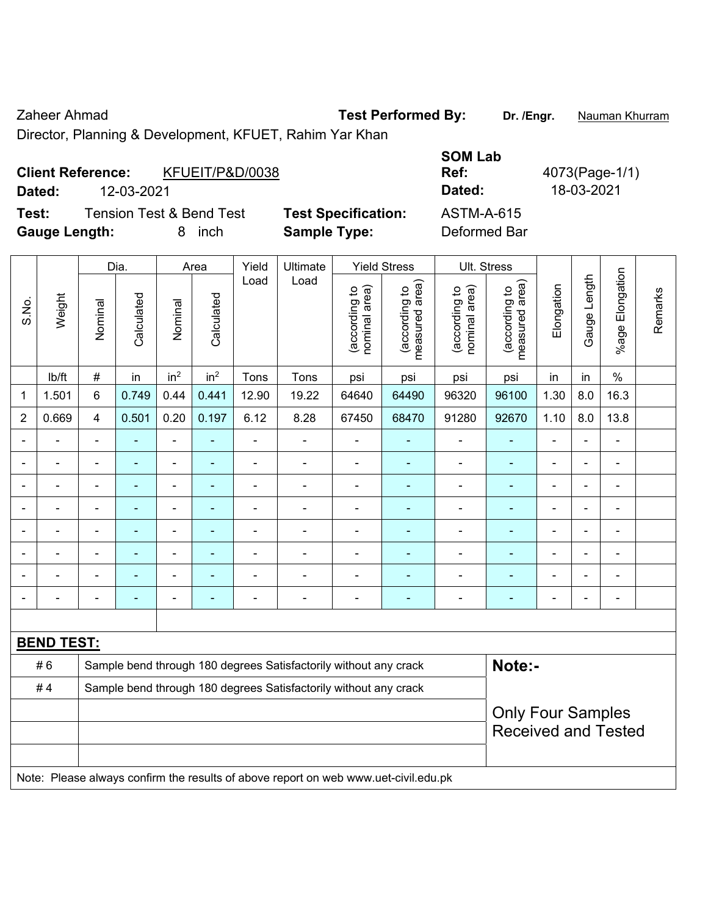Zaheer Ahmad **Test Performed By:** Dr. /Engr. **Nauman Khurram** 

Director, Planning & Development, KFUET, Rahim Yar Khan

| <b>Client Reference:</b> | KFUEIT/P&D/0038                     |                            | <b>SOM Lab</b><br>Ref: | 4073(Page-1/1) |
|--------------------------|-------------------------------------|----------------------------|------------------------|----------------|
| 12-03-2021<br>Dated:     |                                     |                            | Dated:                 | 18-03-2021     |
| Test:                    | <b>Tension Test &amp; Bend Test</b> | <b>Test Specification:</b> | ASTM-A-615             |                |
| <b>Gauge Length:</b>     | <i>inch</i><br>8                    | <b>Sample Type:</b>        | Deformed Bar           |                |

|                |                   |                                                                  | Dia.           |                 | Area            | Yield                    | Ultimate                                                                            |                                | <b>Yield Stress</b>             |                                | Ult. Stress                                            |                          |              |                           |         |
|----------------|-------------------|------------------------------------------------------------------|----------------|-----------------|-----------------|--------------------------|-------------------------------------------------------------------------------------|--------------------------------|---------------------------------|--------------------------------|--------------------------------------------------------|--------------------------|--------------|---------------------------|---------|
| S.No.          | Weight            | Nominal                                                          | Calculated     | Nominal         | Calculated      | Load                     | Load                                                                                | nominal area)<br>(according to | measured area)<br>(according to | (according to<br>nominal area) | (according to<br>measured area)                        | Elongation               | Gauge Length | Elongation<br>$%$ age $ $ | Remarks |
|                | lb/ft             | #                                                                | in             | in <sup>2</sup> | in <sup>2</sup> | Tons                     | Tons                                                                                | psi                            | psi                             | psi                            | psi                                                    | in                       | in           | $\%$                      |         |
| 1              | 1.501             | 6                                                                | 0.749          | 0.44            | 0.441           | 12.90                    | 19.22                                                                               | 64640                          | 64490                           | 96320                          | 96100                                                  | 1.30                     | 8.0          | 16.3                      |         |
| $\overline{2}$ | 0.669             | 4                                                                | 0.501          | 0.20            | 0.197           | 6.12                     | 8.28                                                                                | 67450                          | 68470                           | 91280                          | 92670                                                  | 1.10                     | 8.0          | 13.8                      |         |
|                | ä,                | $\blacksquare$                                                   | ۰              | ÷,              | $\blacksquare$  | $\overline{\phantom{a}}$ | $\overline{\phantom{a}}$                                                            | $\blacksquare$                 | $\blacksquare$                  | $\qquad \qquad \blacksquare$   | $\blacksquare$                                         | $\blacksquare$           |              | $\blacksquare$            |         |
|                | ä,                | ä,                                                               | $\blacksquare$ | $\overline{a}$  | $\blacksquare$  | $\blacksquare$           | ä,                                                                                  | ÷,                             | ÷,                              | ä,                             | $\blacksquare$                                         | ä,                       |              | $\blacksquare$            |         |
|                | $\blacksquare$    | ä,                                                               | ÷,             | $\blacksquare$  | ۰               | $\blacksquare$           | $\blacksquare$                                                                      | $\blacksquare$                 | $\blacksquare$                  | $\blacksquare$                 | $\blacksquare$                                         | $\blacksquare$           |              | $\blacksquare$            |         |
|                |                   |                                                                  | $\blacksquare$ | $\blacksquare$  |                 | Ĭ.                       | ÷                                                                                   | $\blacksquare$                 | $\blacksquare$                  | $\overline{a}$                 | L.                                                     | $\blacksquare$           |              | $\overline{a}$            |         |
|                |                   |                                                                  |                | $\blacksquare$  |                 |                          | ÷                                                                                   | $\blacksquare$                 |                                 | $\blacksquare$                 |                                                        | $\overline{\phantom{0}}$ |              | $\blacksquare$            |         |
|                | $\overline{a}$    | $\blacksquare$                                                   | ÷,             | $\blacksquare$  | $\blacksquare$  | $\overline{a}$           | ۳                                                                                   | $\blacksquare$                 | ٠                               | $\blacksquare$                 | $\blacksquare$                                         | $\blacksquare$           | ٠            | $\blacksquare$            |         |
|                | Ē,                | $\blacksquare$                                                   | ۰              | $\blacksquare$  | ۰               |                          | ÷                                                                                   | $\blacksquare$                 | ٠                               | ÷                              | Ē,                                                     | ä,                       |              | ÷                         |         |
| $\blacksquare$ | L,                | $\blacksquare$                                                   | ÷,             | $\blacksquare$  | ۰               | $\blacksquare$           | $\blacksquare$                                                                      | $\blacksquare$                 | $\blacksquare$                  | $\blacksquare$                 | $\blacksquare$                                         | $\blacksquare$           |              | $\blacksquare$            |         |
|                |                   |                                                                  |                |                 |                 |                          |                                                                                     |                                |                                 |                                |                                                        |                          |              |                           |         |
|                | <b>BEND TEST:</b> |                                                                  |                |                 |                 |                          |                                                                                     |                                |                                 |                                |                                                        |                          |              |                           |         |
|                | #6                |                                                                  |                |                 |                 |                          | Sample bend through 180 degrees Satisfactorily without any crack                    |                                |                                 |                                | Note:-                                                 |                          |              |                           |         |
|                | #4                | Sample bend through 180 degrees Satisfactorily without any crack |                |                 |                 |                          |                                                                                     |                                |                                 |                                |                                                        |                          |              |                           |         |
|                |                   |                                                                  |                |                 |                 |                          |                                                                                     |                                |                                 |                                | <b>Only Four Samples</b><br><b>Received and Tested</b> |                          |              |                           |         |
|                |                   |                                                                  |                |                 |                 |                          | Note: Please always confirm the results of above report on web www.uet-civil.edu.pk |                                |                                 |                                |                                                        |                          |              |                           |         |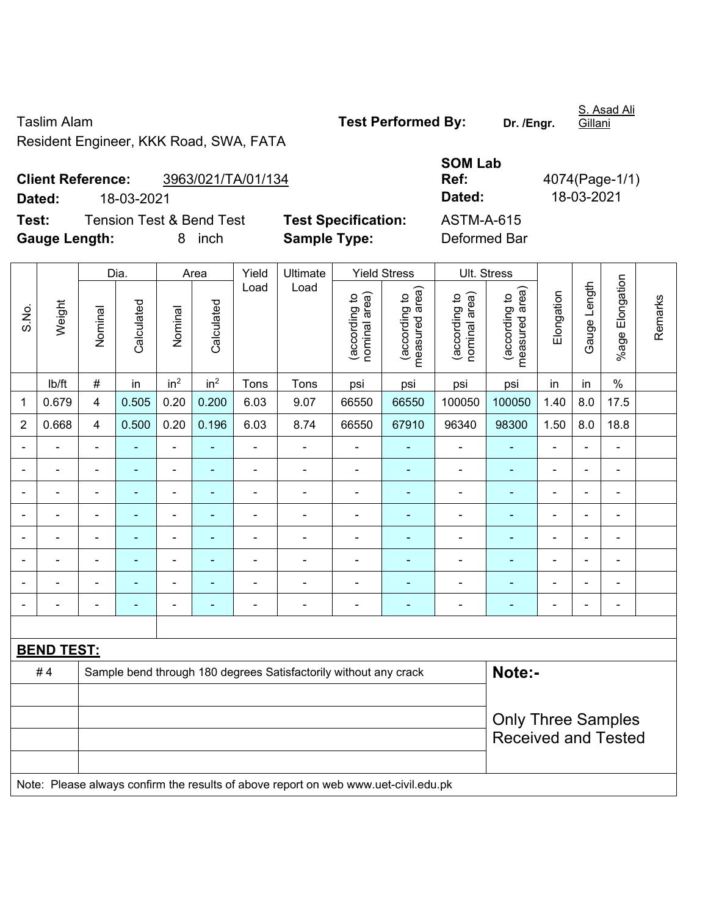Taslim Alam **Test Performed By: Dr. /Engr.**  Resident Engineer, KKK Road, SWA, FATA

S. Asad Ali Gillani

**Client Reference:** 3963/021/TA/01/134 **Dated:** 18-03-2021 **Dated:** 18-03-2021 **Test:** Tension Test & Bend Test **Test Specification:** 

**Gauge Length:** 8 inch **Sample Type:** Deformed Bar

| <b>SOM Lab</b>       |                |
|----------------------|----------------|
| Ref:                 | 4074(Page-1/1) |
| Dated:               | 18-03-2021     |
| ASTM-A-615           |                |
| n - f -  - - - 1 n - |                |

|                |                   |                         | Dia.           |                 | Area            | Yield          | Ultimate                                                                            |                                | <b>Yield Stress</b>             |                                | Ult. Stress                                             |                |                |                          |         |
|----------------|-------------------|-------------------------|----------------|-----------------|-----------------|----------------|-------------------------------------------------------------------------------------|--------------------------------|---------------------------------|--------------------------------|---------------------------------------------------------|----------------|----------------|--------------------------|---------|
| S.No.          | Weight            | Nominal                 | Calculated     | Nominal         | Calculated      | Load           | Load                                                                                | nominal area)<br>(according to | (according to<br>measured area) | nominal area)<br>(according to | (according to<br>measured area)                         | Elongation     | Gauge Length   | %age Elongation          | Remarks |
|                | lb/ft             | $\#$                    | in             | in <sup>2</sup> | in <sup>2</sup> | Tons           | Tons                                                                                | psi                            | psi                             | psi                            | psi                                                     | in             | in             | $\%$                     |         |
| 1              | 0.679             | $\overline{\mathbf{4}}$ | 0.505          | 0.20            | 0.200           | 6.03           | 9.07                                                                                | 66550                          | 66550                           | 100050                         | 100050                                                  | 1.40           | 8.0            | 17.5                     |         |
| $\overline{2}$ | 0.668             | $\overline{\mathbf{4}}$ | 0.500          | 0.20            | 0.196           | 6.03           | 8.74                                                                                | 66550                          | 67910                           | 96340                          | 98300                                                   | 1.50           | 8.0            | 18.8                     |         |
|                | $\blacksquare$    | $\blacksquare$          | $\blacksquare$ | $\blacksquare$  | $\blacksquare$  | ÷,             | $\blacksquare$                                                                      | $\blacksquare$                 | $\blacksquare$                  | $\blacksquare$                 | $\blacksquare$                                          | $\blacksquare$ | ä,             | $\overline{\phantom{a}}$ |         |
|                | $\blacksquare$    | $\blacksquare$          | $\blacksquare$ | $\frac{1}{2}$   | ٠               | ÷,             | $\blacksquare$                                                                      | $\blacksquare$                 | $\blacksquare$                  | $\blacksquare$                 | ÷                                                       | $\blacksquare$ | $\blacksquare$ | $\blacksquare$           |         |
|                |                   |                         | ä,             | ä,              | ۰               | ä,             | $\blacksquare$                                                                      | ä,                             | ۰                               | $\blacksquare$                 | $\blacksquare$                                          | L,             |                | ä,                       |         |
|                |                   |                         |                | $\blacksquare$  |                 | $\blacksquare$ | $\blacksquare$                                                                      | $\blacksquare$                 |                                 | $\blacksquare$                 | ۰                                                       | ÷              |                | ÷                        |         |
|                |                   |                         | $\blacksquare$ | ÷               | ۰               | $\blacksquare$ | $\blacksquare$                                                                      | $\blacksquare$                 | ۰                               | $\blacksquare$                 | $\blacksquare$                                          | $\blacksquare$ |                | $\blacksquare$           |         |
|                | $\blacksquare$    | $\blacksquare$          | $\blacksquare$ | ÷,              | ٠               | ä,             | $\blacksquare$                                                                      | $\blacksquare$                 | ٠                               | $\overline{\phantom{a}}$       | $\blacksquare$                                          | $\blacksquare$ | $\blacksquare$ | $\blacksquare$           |         |
|                |                   |                         |                | ÷               | ٠               | $\blacksquare$ | $\overline{\phantom{a}}$                                                            | $\blacksquare$                 | ÷                               | $\blacksquare$                 | $\overline{\phantom{a}}$                                | Ē,             |                | ÷                        |         |
|                | $\blacksquare$    | $\blacksquare$          | $\blacksquare$ | ÷               | $\blacksquare$  | $\blacksquare$ | $\blacksquare$                                                                      | $\frac{1}{2}$                  | $\blacksquare$                  | $\blacksquare$                 | $\blacksquare$                                          | $\blacksquare$ |                | ÷,                       |         |
|                |                   |                         |                |                 |                 |                |                                                                                     |                                |                                 |                                |                                                         |                |                |                          |         |
|                | <b>BEND TEST:</b> |                         |                |                 |                 |                |                                                                                     |                                |                                 |                                |                                                         |                |                |                          |         |
|                | #4                |                         |                |                 |                 |                | Sample bend through 180 degrees Satisfactorily without any crack                    |                                |                                 |                                | Note:-                                                  |                |                |                          |         |
|                |                   |                         |                |                 |                 |                |                                                                                     |                                |                                 |                                |                                                         |                |                |                          |         |
|                |                   |                         |                |                 |                 |                |                                                                                     |                                |                                 |                                | <b>Only Three Samples</b><br><b>Received and Tested</b> |                |                |                          |         |
|                |                   |                         |                |                 |                 |                | Note: Please always confirm the results of above report on web www.uet-civil.edu.pk |                                |                                 |                                |                                                         |                |                |                          |         |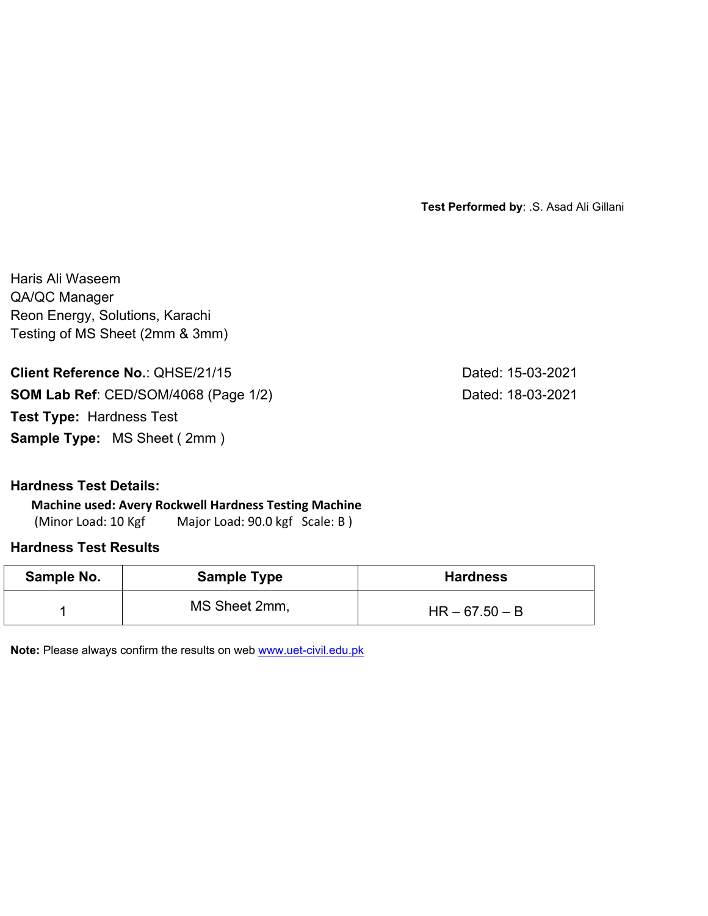**Test Performed by**: .S. Asad Ali Gillani

Haris Ali Waseem QA/QC Manager Reon Energy, Solutions, Karachi Testing of MS Sheet (2mm & 3mm)

**Client Reference No.: QHSE/21/15 Dated: 15-03-2021 SOM Lab Ref**: CED/SOM/4068 (Page 1/2) Dated: 18-03-2021 **Test Type:** Hardness Test

**Sample Type:** MS Sheet ( 2mm )

**Hardness Test Details:** 

**Machine used: Avery Rockwell Hardness Testing Machine**

(Minor Load: 10 Kgf Major Load: 90.0 kgf Scale: B)

### **Hardness Test Results**

| Sample No. | <b>Sample Type</b> | <b>Hardness</b>  |
|------------|--------------------|------------------|
|            | MS Sheet 2mm,      | $HR - 67.50 - B$ |

**Note:** Please always confirm the results on web www.uet-civil.edu.pk